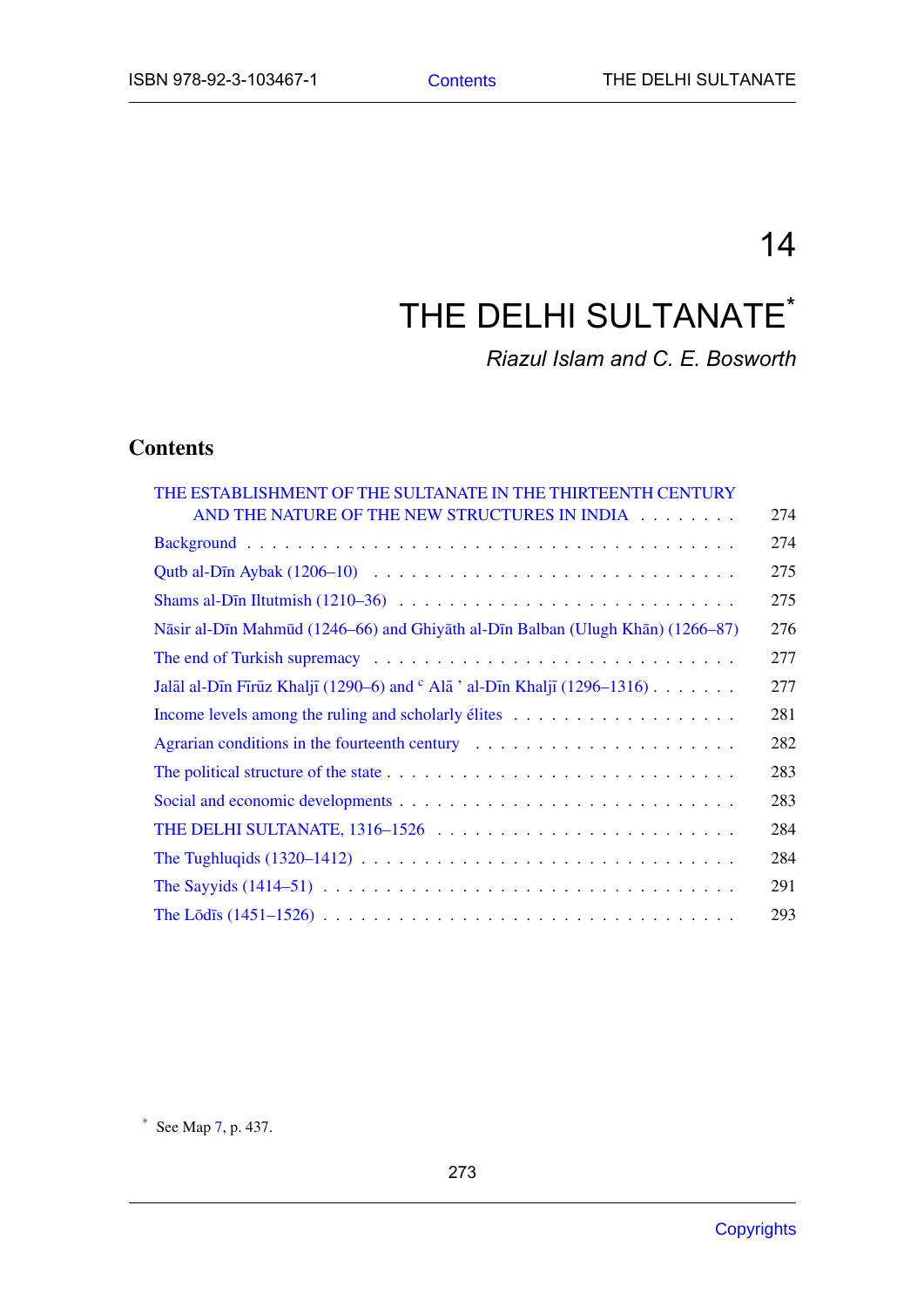# 14

# THE DELHI SULTANATE\*

*Riazul Islam and C. E. Bosworth*

#### **Contents**

| THE ESTABLISHMENT OF THE SULTANATE IN THE THIRTEENTH CENTURY                        |     |
|-------------------------------------------------------------------------------------|-----|
| AND THE NATURE OF THE NEW STRUCTURES IN INDIA                                       | 274 |
|                                                                                     | 274 |
|                                                                                     | 275 |
|                                                                                     | 275 |
| Nāsir al-Dīn Mahmūd (1246–66) and Ghiyāth al-Dīn Balban (Ulugh Khān) (1266–87)      | 276 |
|                                                                                     | 277 |
| Jalāl al-Dīn Fīrūz Khaljī (1290–6) and $\textdegree$ Alā 'al-Dīn Khaljī (1296–1316) | 277 |
|                                                                                     | 281 |
|                                                                                     | 282 |
|                                                                                     | 283 |
|                                                                                     | 283 |
|                                                                                     | 284 |
|                                                                                     | 284 |
|                                                                                     | 291 |
|                                                                                     | 293 |

\* See Map 7, p. 437.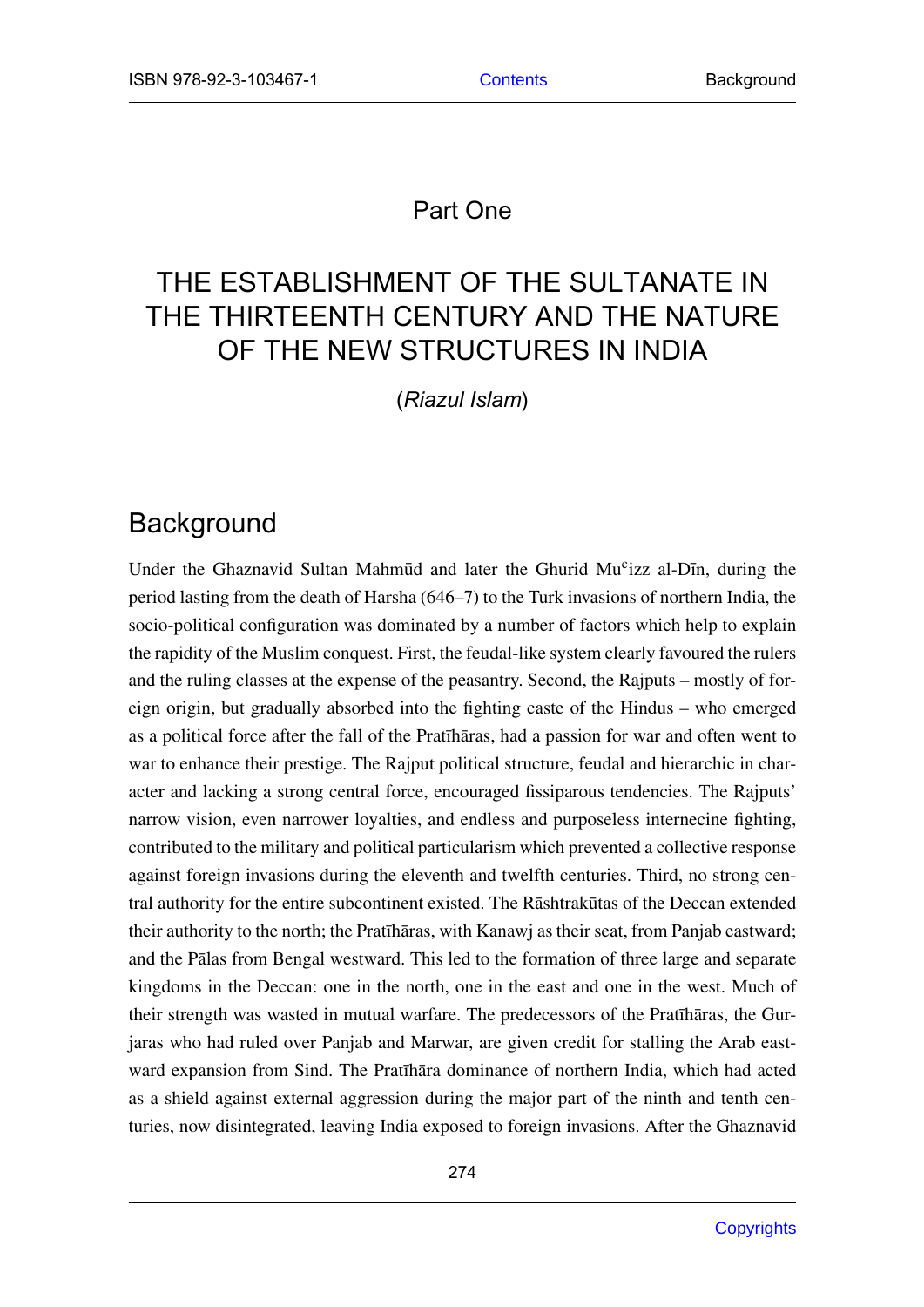**Contents** 

#### Part One

# THE ESTABLISHMENT OF THE SULTANATE IN THE THIRTEENTH CENTURY AND THE NATURE OF THE NEW STRUCTURES IN INDIA

(*Riazul Islam*)

### **Background**

Under the Ghaznavid Sultan Mahmūd and later the Ghurid Mu<sup>c</sup>izz al-Dīn, during the period lasting from the death of Harsha (646–7) to the Turk invasions of northern India, the socio-political configuration was dominated by a number of factors which help to explain the rapidity of the Muslim conquest. First, the feudal-like system clearly favoured the rulers and the ruling classes at the expense of the peasantry. Second, the Rajputs – mostly of foreign origin, but gradually absorbed into the fighting caste of the Hindus – who emerged as a political force after the fall of the Prat<del>i</del>naras, had a passion for war and often went to war to enhance their prestige. The Rajput political structure, feudal and hierarchic in character and lacking a strong central force, encouraged fissiparous tendencies. The Rajputs' narrow vision, even narrower loyalties, and endless and purposeless internecine fighting, contributed to the military and political particularism which prevented a collective response against foreign invasions during the eleventh and twelfth centuries. Third, no strong central authority for the entire subcontinent existed. The Rashtrakultas of the Deccan extended their authority to the north; the Pratīhāras, with Kanawj as their seat, from Panjab eastward; and the Palas from Bengal westward. This led to the formation of three large and separate kingdoms in the Deccan: one in the north, one in the east and one in the west. Much of their strength was wasted in mutual warfare. The predecessors of the Prat $\bar{\text{h}}$ aras, the Gurjaras who had ruled over Panjab and Marwar, are given credit for stalling the Arab eastward expansion from Sind. The Pratīhara dominance of northern India, which had acted as a shield against external aggression during the major part of the ninth and tenth centuries, now disintegrated, leaving India exposed to foreign invasions. After the Ghaznavid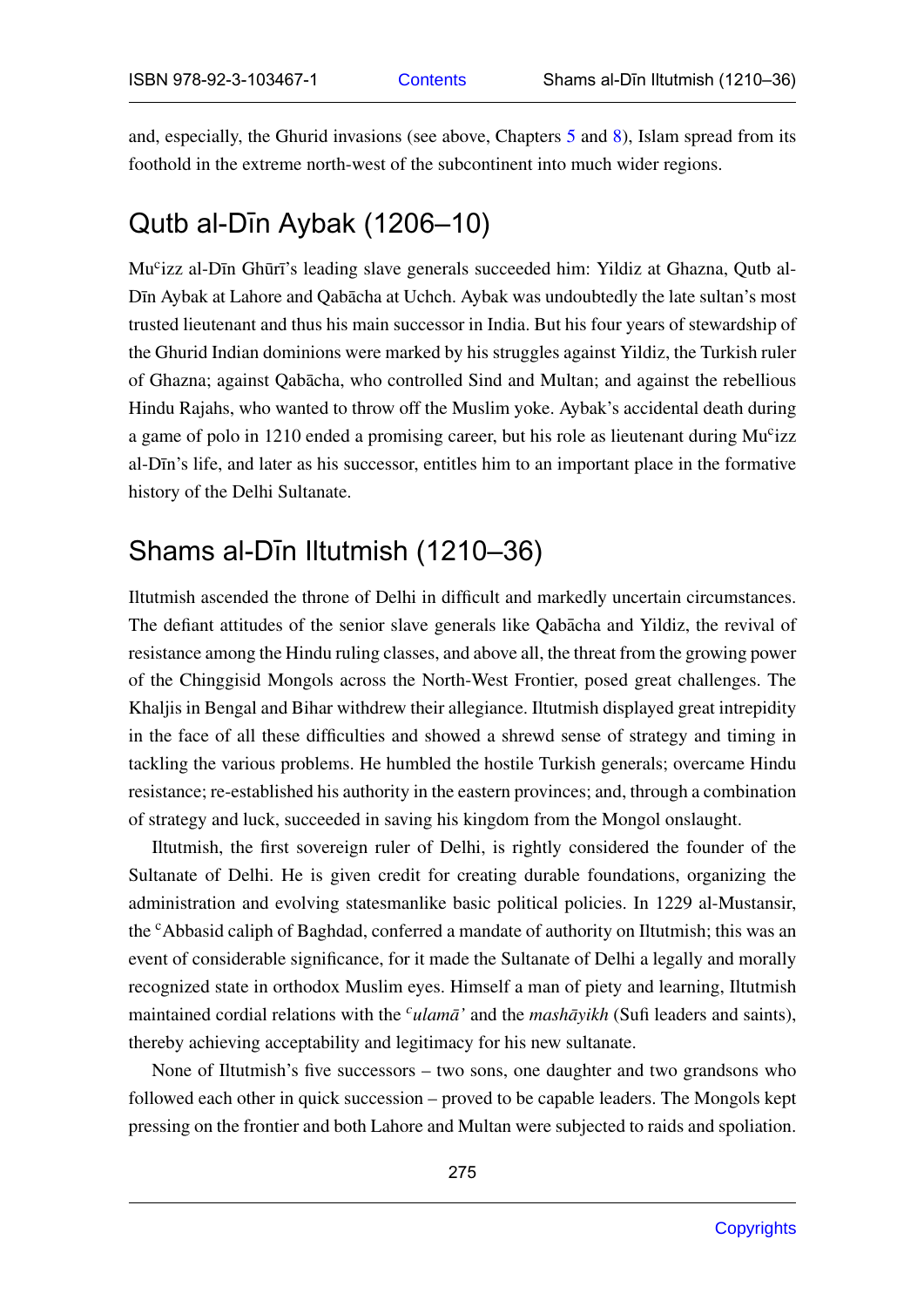and, especially, the Ghurid invasions (see above, Chapters 5 and 8), Islam spread from its foothold in the extreme north-west of the subcontinent into much wider regions.

### Qutb al-Dīn Aybak (1206–10)

Mu<sup>c</sup>izz al-Dīn Ghūrī's leading slave generals succeeded him: Yildiz at Ghazna, Qutb al-Dīn Aybak at Lahore and Qabācha at Uchch. Aybak was undoubtedly the late sultan's most trusted lieutenant and thus his main successor in India. But his four years of stewardship of the Ghurid Indian dominions were marked by his struggles against Yildiz, the Turkish ruler of Ghazna; against Qabacha, who controlled Sind and Multan; and against the rebellious Hindu Rajahs, who wanted to throw off the Muslim yoke. Aybak's accidental death during a game of polo in 1210 ended a promising career, but his role as lieutenant during Mu<sup>c</sup>izz al-Dīn's life, and later as his successor, entitles him to an important place in the formative history of the Delhi Sultanate.

### Shams al-Dīn Iltutmish (1210–36)

Iltutmish ascended the throne of Delhi in difficult and markedly uncertain circumstances. The defiant attitudes of the senior slave generals like Qabacha and Yildiz, the revival of resistance among the Hindu ruling classes, and above all, the threat from the growing power of the Chinggisid Mongols across the North-West Frontier, posed great challenges. The Khaljis in Bengal and Bihar withdrew their allegiance. Iltutmish displayed great intrepidity in the face of all these difficulties and showed a shrewd sense of strategy and timing in tackling the various problems. He humbled the hostile Turkish generals; overcame Hindu resistance; re-established his authority in the eastern provinces; and, through a combination of strategy and luck, succeeded in saving his kingdom from the Mongol onslaught.

Iltutmish, the first sovereign ruler of Delhi, is rightly considered the founder of the Sultanate of Delhi. He is given credit for creating durable foundations, organizing the administration and evolving statesmanlike basic political policies. In 1229 al-Mustansir, the <sup>c</sup>Abbasid caliph of Baghdad, conferred a mandate of authority on Iltutmish; this was an event of considerable significance, for it made the Sultanate of Delhi a legally and morally recognized state in orthodox Muslim eyes. Himself a man of piety and learning, Iltutmish maintained cordial relations with the <sup>*c*</sup>*ulama'* and the *mashayikh (Sufi leaders and saints)*, thereby achieving acceptability and legitimacy for his new sultanate.

None of Iltutmish's five successors – two sons, one daughter and two grandsons who followed each other in quick succession – proved to be capable leaders. The Mongols kept pressing on the frontier and both Lahore and Multan were subjected to raids and spoliation.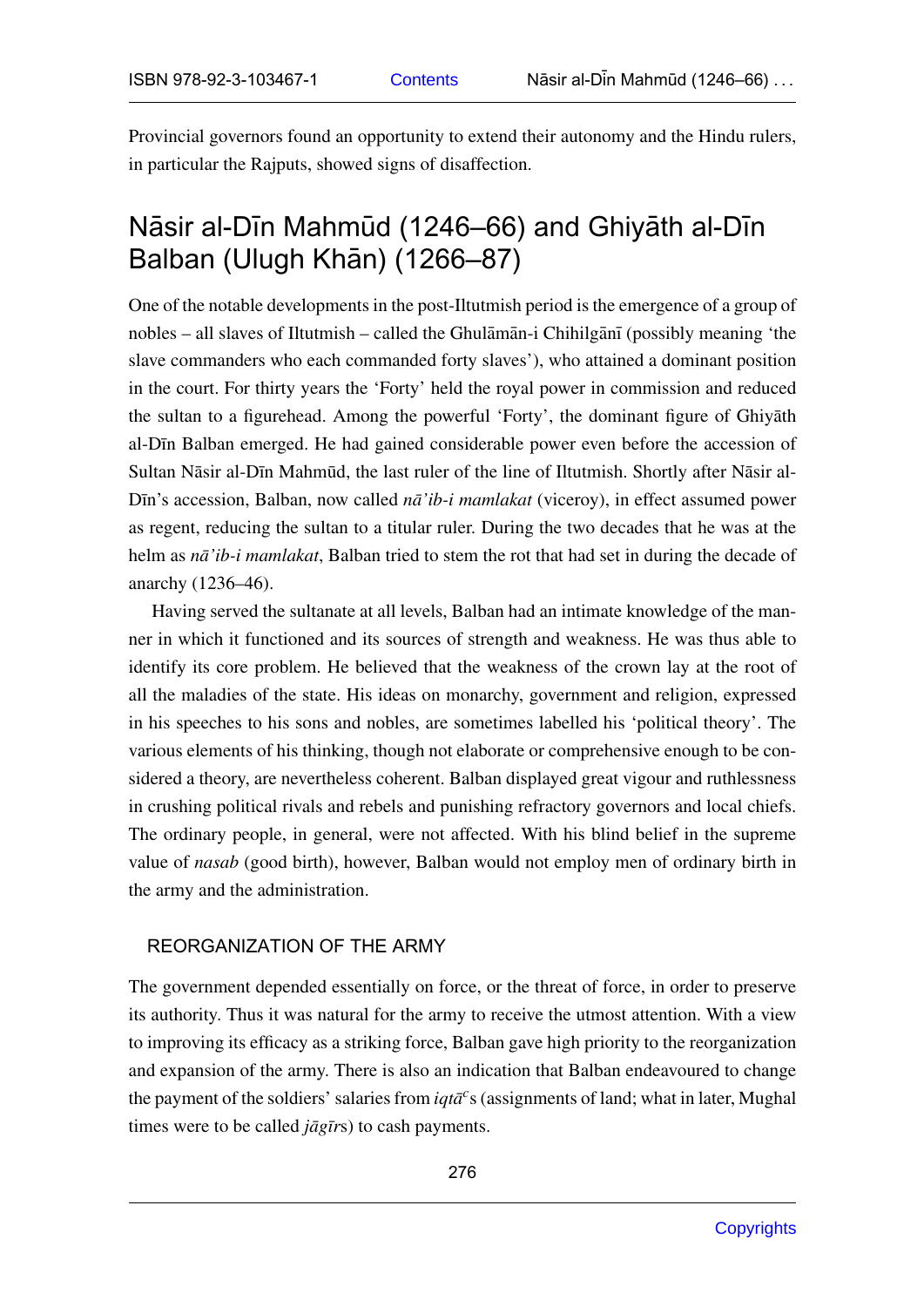Provincial governors found an opportunity to extend their autonomy and the Hindu rulers, in particular the Rajputs, showed signs of disaffection.

# Nāsir al-Dīn Mahmūd (1246–66) and Ghiyāth al-Dīn Balban (Ulugh Khān) (1266–87)

One of the notable developments in the post-Iltutmish period is the emergence of a group of nobles – all slaves of Iltutmish – called the Ghulamān-i Chihilganī (possibly meaning 'the slave commanders who each commanded forty slaves'), who attained a dominant position in the court. For thirty years the 'Forty' held the royal power in commission and reduced the sultan to a figurehead. Among the powerful 'Forty', the dominant figure of Ghiyath ¯ al-Dīn Balban emerged. He had gained considerable power even before the accession of Sultan Nāsir al-Dīn Mahmūd, the last ruler of the line of Iltutmish. Shortly after Nāsir al-Dīn's accession, Balban, now called *nā'ib-i mamlakat* (viceroy), in effect assumed power as regent, reducing the sultan to a titular ruler. During the two decades that he was at the helm as *na'ib-i mamlakat*, Balban tried to stem the rot that had set in during the decade of anarchy (1236–46).

Having served the sultanate at all levels, Balban had an intimate knowledge of the manner in which it functioned and its sources of strength and weakness. He was thus able to identify its core problem. He believed that the weakness of the crown lay at the root of all the maladies of the state. His ideas on monarchy, government and religion, expressed in his speeches to his sons and nobles, are sometimes labelled his 'political theory'. The various elements of his thinking, though not elaborate or comprehensive enough to be considered a theory, are nevertheless coherent. Balban displayed great vigour and ruthlessness in crushing political rivals and rebels and punishing refractory governors and local chiefs. The ordinary people, in general, were not affected. With his blind belief in the supreme value of *nasab* (good birth), however, Balban would not employ men of ordinary birth in the army and the administration.

#### REORGANIZATION OF THE ARMY

The government depended essentially on force, or the threat of force, in order to preserve its authority. Thus it was natural for the army to receive the utmost attention. With a view to improving its efficacy as a striking force, Balban gave high priority to the reorganization and expansion of the army. There is also an indication that Balban endeavoured to change the payment of the soldiers' salaries from *iqta<sup>c</sup>s* (assignments of land; what in later, Mughal times were to be called *jāgīrs*) to cash payments.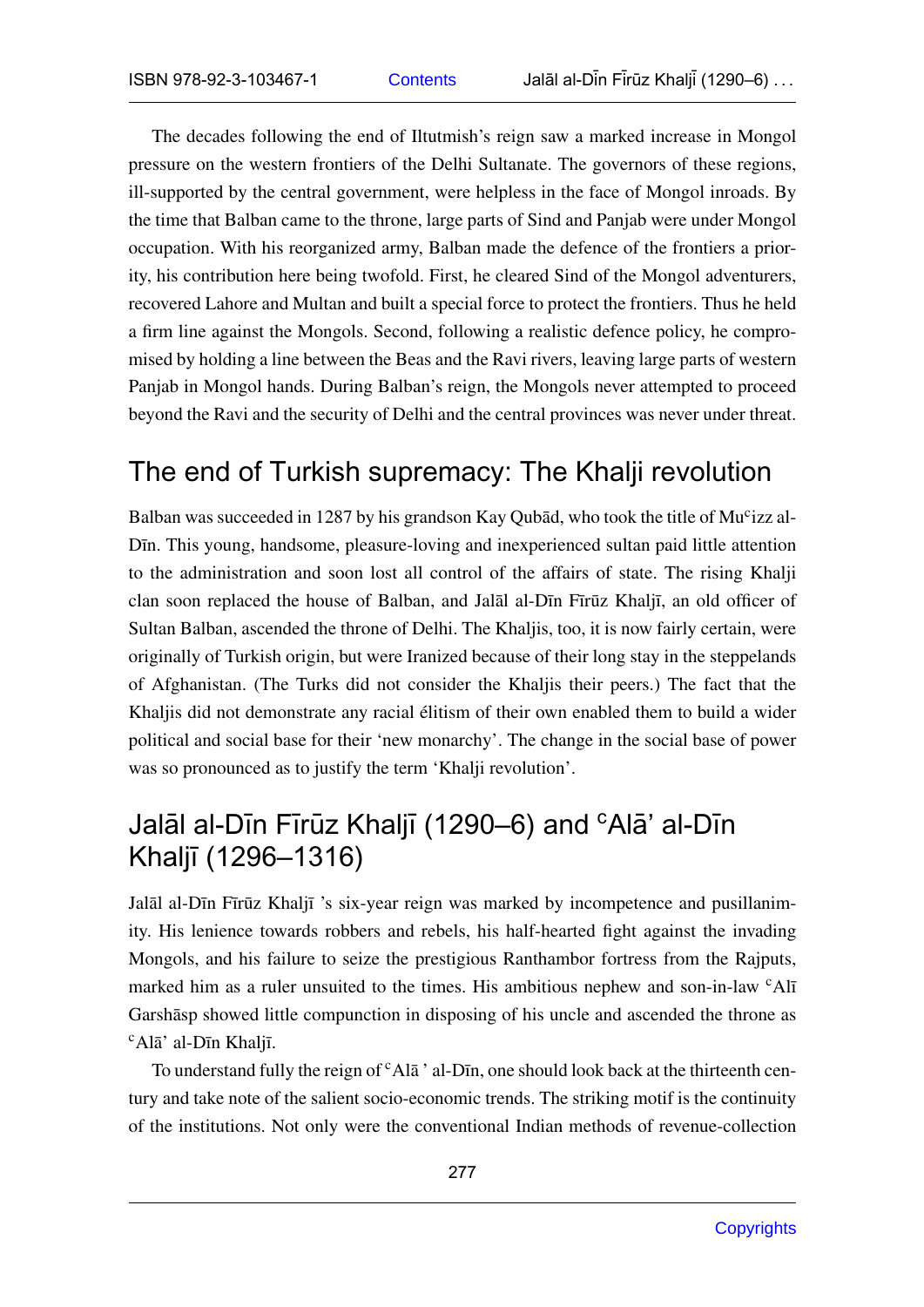The decades following the end of Iltutmish's reign saw a marked increase in Mongol pressure on the western frontiers of the Delhi Sultanate. The governors of these regions, ill-supported by the central government, were helpless in the face of Mongol inroads. By the time that Balban came to the throne, large parts of Sind and Panjab were under Mongol occupation. With his reorganized army, Balban made the defence of the frontiers a priority, his contribution here being twofold. First, he cleared Sind of the Mongol adventurers, recovered Lahore and Multan and built a special force to protect the frontiers. Thus he held a firm line against the Mongols. Second, following a realistic defence policy, he compromised by holding a line between the Beas and the Ravi rivers, leaving large parts of western Panjab in Mongol hands. During Balban's reign, the Mongols never attempted to proceed beyond the Ravi and the security of Delhi and the central provinces was never under threat.

## The end of Turkish supremacy: The Khalji revolution

Balban was succeeded in 1287 by his grandson Kay Qubad, who took the title of Mu<sup>c</sup>izz al-D<sub>In</sub>. This young, handsome, pleasure-loving and inexperienced sultan paid little attention to the administration and soon lost all control of the affairs of state. The rising Khalji clan soon replaced the house of Balban, and Jalal al-Din Firuz Khalji, an old officer of Sultan Balban, ascended the throne of Delhi. The Khaljis, too, it is now fairly certain, were originally of Turkish origin, but were Iranized because of their long stay in the steppelands of Afghanistan. (The Turks did not consider the Khaljis their peers.) The fact that the Khaljis did not demonstrate any racial élitism of their own enabled them to build a wider political and social base for their 'new monarchy'. The change in the social base of power was so pronounced as to justify the term 'Khalji revolution'.

# Jalāl al-Dīn Fīrūz Khaljī (1290–6) and <sup>c</sup>Alā' al-Dīn Khaljī (1296–1316)

Jalāl al-Dīn Fīrūz Khaljī 's six-year reign was marked by incompetence and pusillanimity. His lenience towards robbers and rebels, his half-hearted fight against the invading Mongols, and his failure to seize the prestigious Ranthambor fortress from the Rajputs, marked him as a ruler unsuited to the times. His ambitious nephew and son-in-law  $c$ Al $\bar{i}$ Garshasp showed little compunction in disposing of his uncle and ascended the throne as  $c$ Alā' al-Dīn Khaljī.

To understand fully the reign of  $c$ Al $\bar{a}$   $\cdot$  al-D<sub>I</sub>n, one should look back at the thirteenth century and take note of the salient socio-economic trends. The striking motif is the continuity of the institutions. Not only were the conventional Indian methods of revenue-collection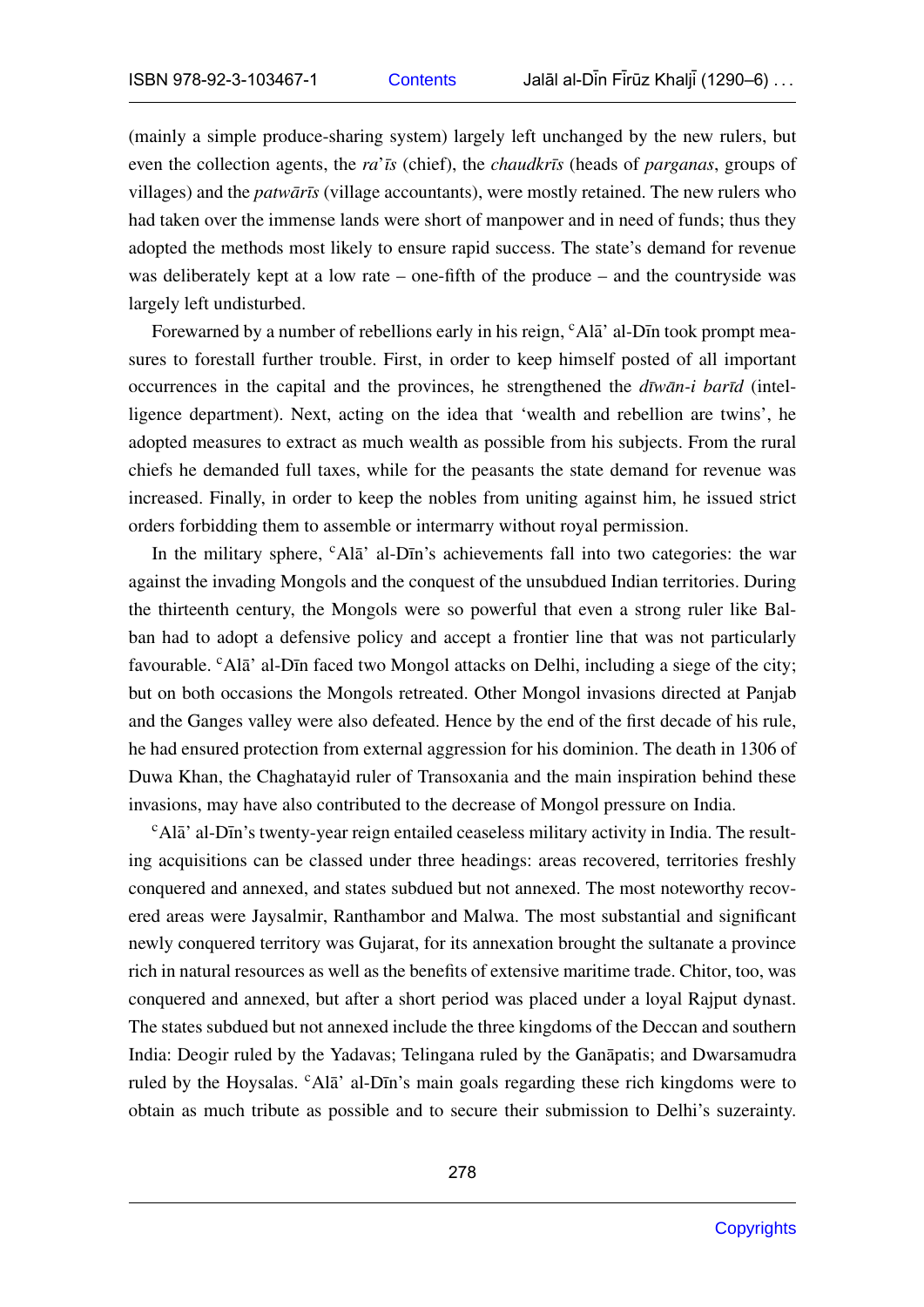(mainly a simple produce-sharing system) largely left unchanged by the new rulers, but even the collection agents, the *ra*' $i$ *s* (chief), the *chaudkris* (heads of *parganas*, groups of villages) and the *patwārts* (village accountants), were mostly retained. The new rulers who had taken over the immense lands were short of manpower and in need of funds; thus they adopted the methods most likely to ensure rapid success. The state's demand for revenue was deliberately kept at a low rate – one-fifth of the produce – and the countryside was largely left undisturbed.

Forewarned by a number of rebellions early in his reign, <sup>c</sup>Ala<sup>3</sup> al-D<sub>I</sub>n took prompt measures to forestall further trouble. First, in order to keep himself posted of all important occurrences in the capital and the provinces, he strengthened the  $d\bar{w}$  *an-i barid* (intelligence department). Next, acting on the idea that 'wealth and rebellion are twins', he adopted measures to extract as much wealth as possible from his subjects. From the rural chiefs he demanded full taxes, while for the peasants the state demand for revenue was increased. Finally, in order to keep the nobles from uniting against him, he issued strict orders forbidding them to assemble or intermarry without royal permission.

In the military sphere,  $c$ Al $\overline{a}$ ' al-D $\overline{n}$ 's achievements fall into two categories: the war against the invading Mongols and the conquest of the unsubdued Indian territories. During the thirteenth century, the Mongols were so powerful that even a strong ruler like Balban had to adopt a defensive policy and accept a frontier line that was not particularly favourable.  $c^2$ Ala<sup> $\alpha$ </sup> al-D<sub>I</sub>n faced two Mongol attacks on Delhi, including a siege of the city; but on both occasions the Mongols retreated. Other Mongol invasions directed at Panjab and the Ganges valley were also defeated. Hence by the end of the first decade of his rule, he had ensured protection from external aggression for his dominion. The death in 1306 of Duwa Khan, the Chaghatayid ruler of Transoxania and the main inspiration behind these invasions, may have also contributed to the decrease of Mongol pressure on India.

 $c$ Al $\vec{a}$ ' al-Dīn's twenty-year reign entailed ceaseless military activity in India. The resulting acquisitions can be classed under three headings: areas recovered, territories freshly conquered and annexed, and states subdued but not annexed. The most noteworthy recovered areas were Jaysalmir, Ranthambor and Malwa. The most substantial and significant newly conquered territory was Gujarat, for its annexation brought the sultanate a province rich in natural resources as well as the benefits of extensive maritime trade. Chitor, too, was conquered and annexed, but after a short period was placed under a loyal Rajput dynast. The states subdued but not annexed include the three kingdoms of the Deccan and southern India: Deogir ruled by the Yadavas; Telingana ruled by the Ganapatis; and Dwarsamudra ruled by the Hoysalas. <sup>c</sup>Ala<sup>†</sup> al-D<sub>I</sub>n's main goals regarding these rich kingdoms were to obtain as much tribute as possible and to secure their submission to Delhi's suzerainty.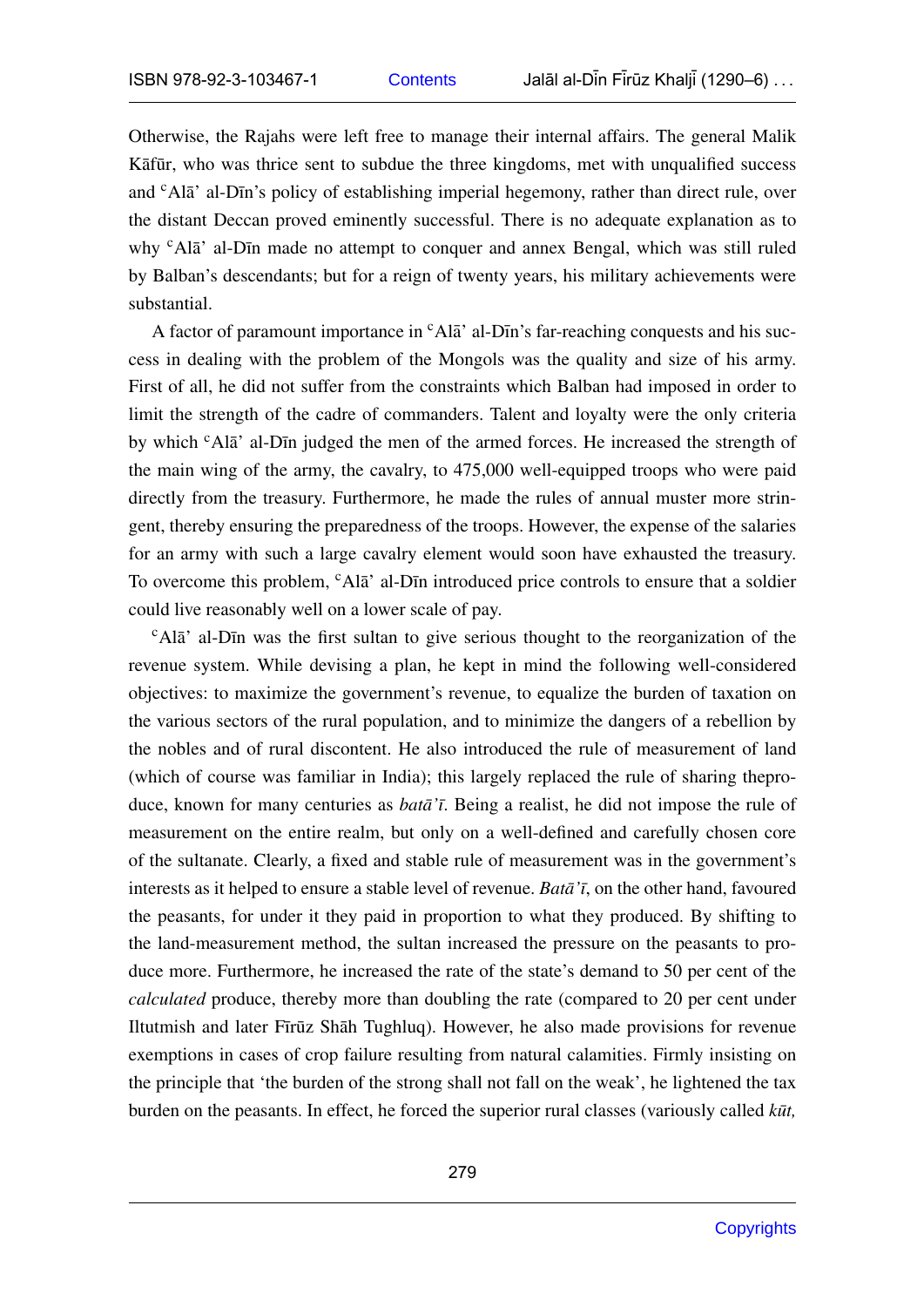Otherwise, the Rajahs were left free to manage their internal affairs. The general Malik Kāfūr, who was thrice sent to subdue the three kingdoms, met with unqualified success and  $c$ Ala' al-D $\bar{n}$ 's policy of establishing imperial hegemony, rather than direct rule, over the distant Deccan proved eminently successful. There is no adequate explanation as to why <sup>c</sup>Ala<sup>3</sup> al-D<sub>I</sub>n made no attempt to conquer and annex Bengal, which was still ruled by Balban's descendants; but for a reign of twenty years, his military achievements were substantial.

A factor of paramount importance in  ${}^{\circ}$ Ala<sup>'</sup> al-D<sub>I</sub>n's far-reaching conquests and his success in dealing with the problem of the Mongols was the quality and size of his army. First of all, he did not suffer from the constraints which Balban had imposed in order to limit the strength of the cadre of commanders. Talent and loyalty were the only criteria by which  $c^2$ Al $\bar{a}$ ' al-D $\bar{n}$  judged the men of the armed forces. He increased the strength of the main wing of the army, the cavalry, to 475,000 well-equipped troops who were paid directly from the treasury. Furthermore, he made the rules of annual muster more stringent, thereby ensuring the preparedness of the troops. However, the expense of the salaries for an army with such a large cavalry element would soon have exhausted the treasury. To overcome this problem,  $c$ Al $\bar{a}$ ' al-D $\bar{n}$  introduced price controls to ensure that a soldier could live reasonably well on a lower scale of pay.

 $c$ Al $\vec{a}$ ' al-D $\vec{n}$  was the first sultan to give serious thought to the reorganization of the revenue system. While devising a plan, he kept in mind the following well-considered objectives: to maximize the government's revenue, to equalize the burden of taxation on the various sectors of the rural population, and to minimize the dangers of a rebellion by the nobles and of rural discontent. He also introduced the rule of measurement of land (which of course was familiar in India); this largely replaced the rule of sharing theproduce, known for many centuries as *bata'ī*. Being a realist, he did not impose the rule of measurement on the entire realm, but only on a well-defined and carefully chosen core of the sultanate. Clearly, a fixed and stable rule of measurement was in the government's interests as it helped to ensure a stable level of revenue. *Bata'*<sup>*T*</sup>, on the other hand, favoured the peasants, for under it they paid in proportion to what they produced. By shifting to the land-measurement method, the sultan increased the pressure on the peasants to produce more. Furthermore, he increased the rate of the state's demand to 50 per cent of the *calculated* produce, thereby more than doubling the rate (compared to 20 per cent under Iltutmish and later Firūz Shāh Tughluq). However, he also made provisions for revenue exemptions in cases of crop failure resulting from natural calamities. Firmly insisting on the principle that 'the burden of the strong shall not fall on the weak', he lightened the tax burden on the peasants. In effect, he forced the superior rural classes (variously called  $k\bar{u}t$ ,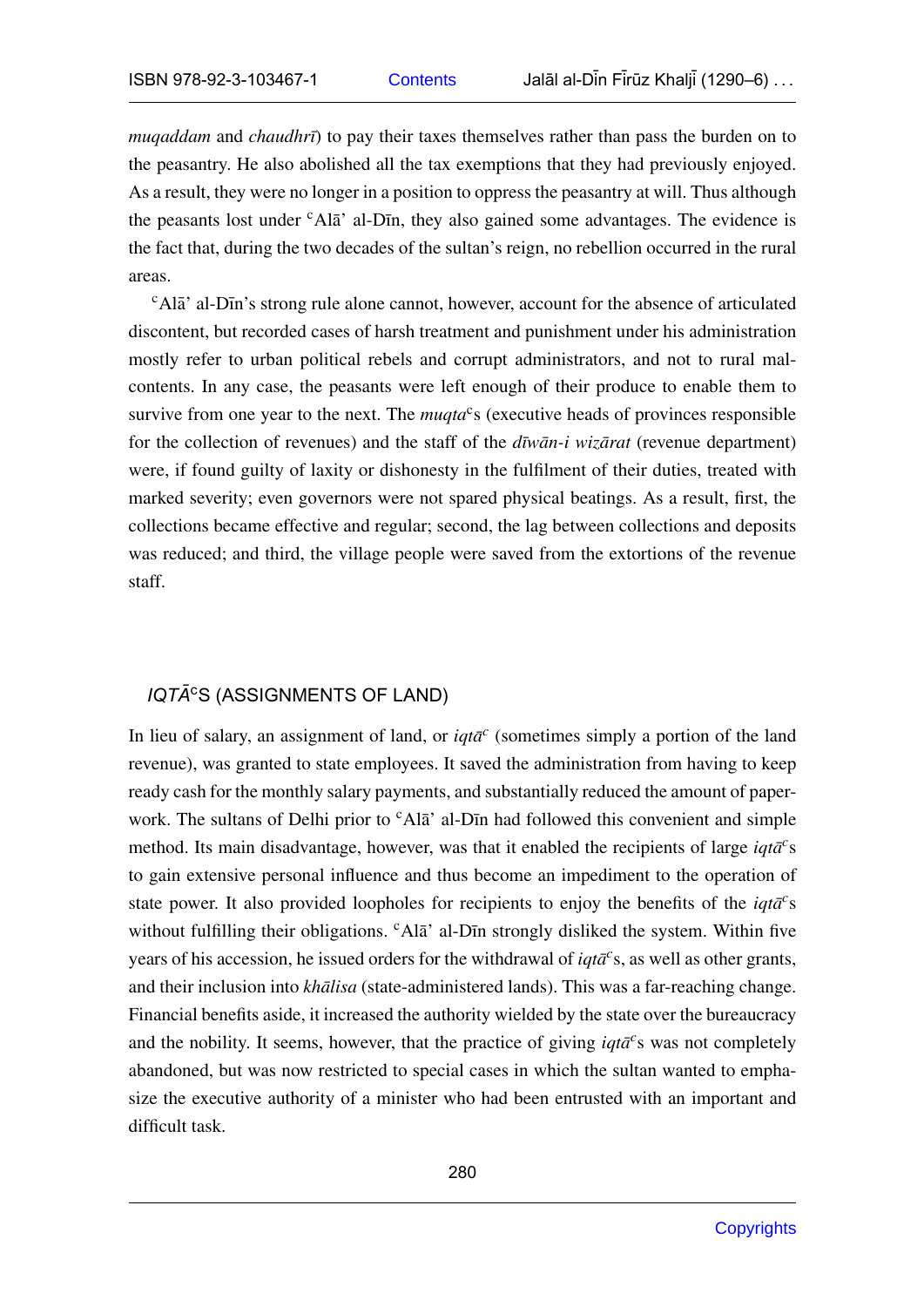*muqaddam* and *chaudhrt*) to pay their taxes themselves rather than pass the burden on to the peasantry. He also abolished all the tax exemptions that they had previously enjoyed. As a result, they were no longer in a position to oppress the peasantry at will. Thus although the peasants lost under  $c$ Al $\bar{a}$ ' al-D $\bar{n}$ , they also gained some advantages. The evidence is the fact that, during the two decades of the sultan's reign, no rebellion occurred in the rural areas.

 $c$ Al $\vec{a}$ ' al-Dīn's strong rule alone cannot, however, account for the absence of articulated discontent, but recorded cases of harsh treatment and punishment under his administration mostly refer to urban political rebels and corrupt administrators, and not to rural malcontents. In any case, the peasants were left enough of their produce to enable them to survive from one year to the next. The *muqta*<sup>c</sup>s (executive heads of provinces responsible for the collection of revenues) and the staff of the *dīwan-i wizarat* (revenue department) were, if found guilty of laxity or dishonesty in the fulfilment of their duties, treated with marked severity; even governors were not spared physical beatings. As a result, first, the collections became effective and regular; second, the lag between collections and deposits was reduced; and third, the village people were saved from the extortions of the revenue staff.

#### *IQTĀ*<sup>c</sup>S (ASSIGNMENTS OF LAND)

In lieu of salary, an assignment of land, or  $iq\bar{a}^c$  (sometimes simply a portion of the land revenue), was granted to state employees. It saved the administration from having to keep ready cash for the monthly salary payments, and substantially reduced the amount of paperwork. The sultans of Delhi prior to  $c$ Ala<sup>'</sup> al-D<sub>I</sub>n had followed this convenient and simple method. Its main disadvantage, however, was that it enabled the recipients of large *iqta*<sup>c</sup>s to gain extensive personal influence and thus become an impediment to the operation of state power. It also provided loopholes for recipients to enjoy the benefits of the *iqta*<sup>c</sup>s without fulfilling their obligations. <sup>c</sup>Ala<sup>'</sup> al-D<sub>In</sub> strongly disliked the system. Within five years of his accession, he issued orders for the withdrawal of *iqta<sup>c</sup>*s, as well as other grants, and their inclusion into *khalisa* (state-administered lands). This was a far-reaching change. Financial benefits aside, it increased the authority wielded by the state over the bureaucracy and the nobility. It seems, however, that the practice of giving  $iqt\bar{a}^c$ s was not completely abandoned, but was now restricted to special cases in which the sultan wanted to emphasize the executive authority of a minister who had been entrusted with an important and difficult task.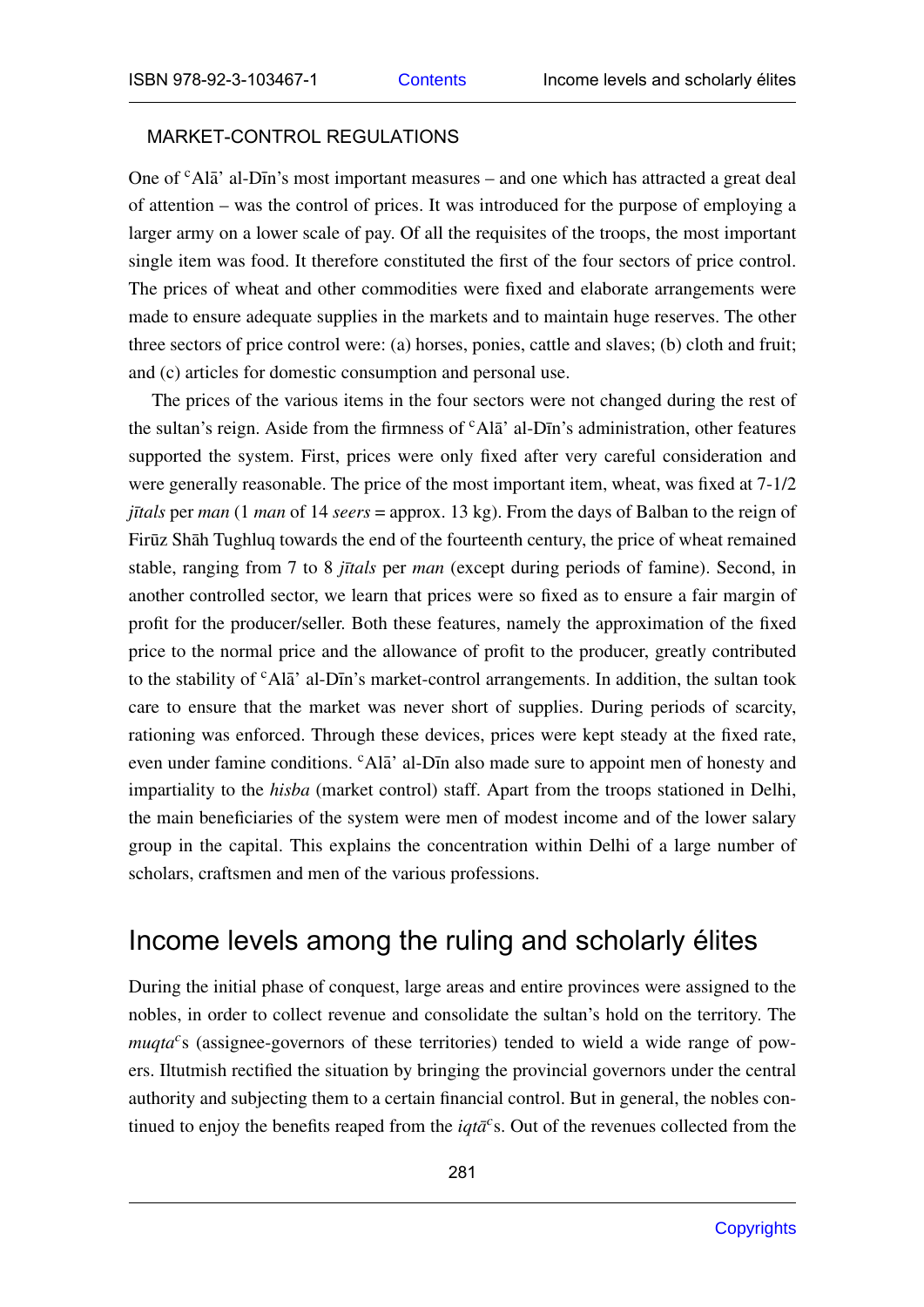#### MARKET-CONTROL REGULATIONS

One of  $c$ Al $\bar{a}$ ' al-D $\bar{n}$ 's most important measures – and one which has attracted a great deal of attention – was the control of prices. It was introduced for the purpose of employing a larger army on a lower scale of pay. Of all the requisites of the troops, the most important single item was food. It therefore constituted the first of the four sectors of price control. The prices of wheat and other commodities were fixed and elaborate arrangements were made to ensure adequate supplies in the markets and to maintain huge reserves. The other three sectors of price control were: (a) horses, ponies, cattle and slaves; (b) cloth and fruit; and (c) articles for domestic consumption and personal use.

The prices of the various items in the four sectors were not changed during the rest of the sultan's reign. Aside from the firmness of  $c$ Ala<sup>'</sup> al-D<sub>I</sub>n's administration, other features supported the system. First, prices were only fixed after very careful consideration and were generally reasonable. The price of the most important item, wheat, was fixed at 7-1/2 *j* $\frac{1}{2}$ *j* $\frac{1}{2}$ *f* $\frac{1}{2}$ *f* $\frac{1}{2}$ *f* $\frac{1}{2}$ *f* $\frac{1}{2}$ *f* $\frac{1}{2}$ *f* $\frac{1}{2}$ *f* $\frac{1}{2}$ *f* $\frac{1}{2}$ *f* $\frac{1}{2}$ *f* $\frac{1}{2}$ *f* $\frac{1}{2}$ *f* $\frac{1}{2}$ *f* $\frac{1}{2}$ *f* $\frac{1}{2}$ *f* $\frac{1}{2}$ *f* $\frac{1}{2}$ *f* $\frac$ Firuz Shah Tughluq towards the end of the fourteenth century, the price of wheat remained stable, ranging from 7 to 8 *jītals* per *man* (except during periods of famine). Second, in another controlled sector, we learn that prices were so fixed as to ensure a fair margin of profit for the producer/seller. Both these features, namely the approximation of the fixed price to the normal price and the allowance of profit to the producer, greatly contributed to the stability of  $c$ Ala<sup> $\cdot$ </sup> al-D<sub>I</sub>n's market-control arrangements. In addition, the sultan took care to ensure that the market was never short of supplies. During periods of scarcity, rationing was enforced. Through these devices, prices were kept steady at the fixed rate, even under famine conditions.  $c$ Ala<sup>'</sup> al-D<sub>I</sub>n also made sure to appoint men of honesty and impartiality to the *hisba* (market control) staff. Apart from the troops stationed in Delhi, the main beneficiaries of the system were men of modest income and of the lower salary group in the capital. This explains the concentration within Delhi of a large number of scholars, craftsmen and men of the various professions.

### Income levels among the ruling and scholarly élites

During the initial phase of conquest, large areas and entire provinces were assigned to the nobles, in order to collect revenue and consolidate the sultan's hold on the territory. The *muqta<sup>c</sup>* s (assignee-governors of these territories) tended to wield a wide range of powers. Iltutmish rectified the situation by bringing the provincial governors under the central authority and subjecting them to a certain financial control. But in general, the nobles continued to enjoy the benefits reaped from the  $iqt\bar{a}^c s$ . Out of the revenues collected from the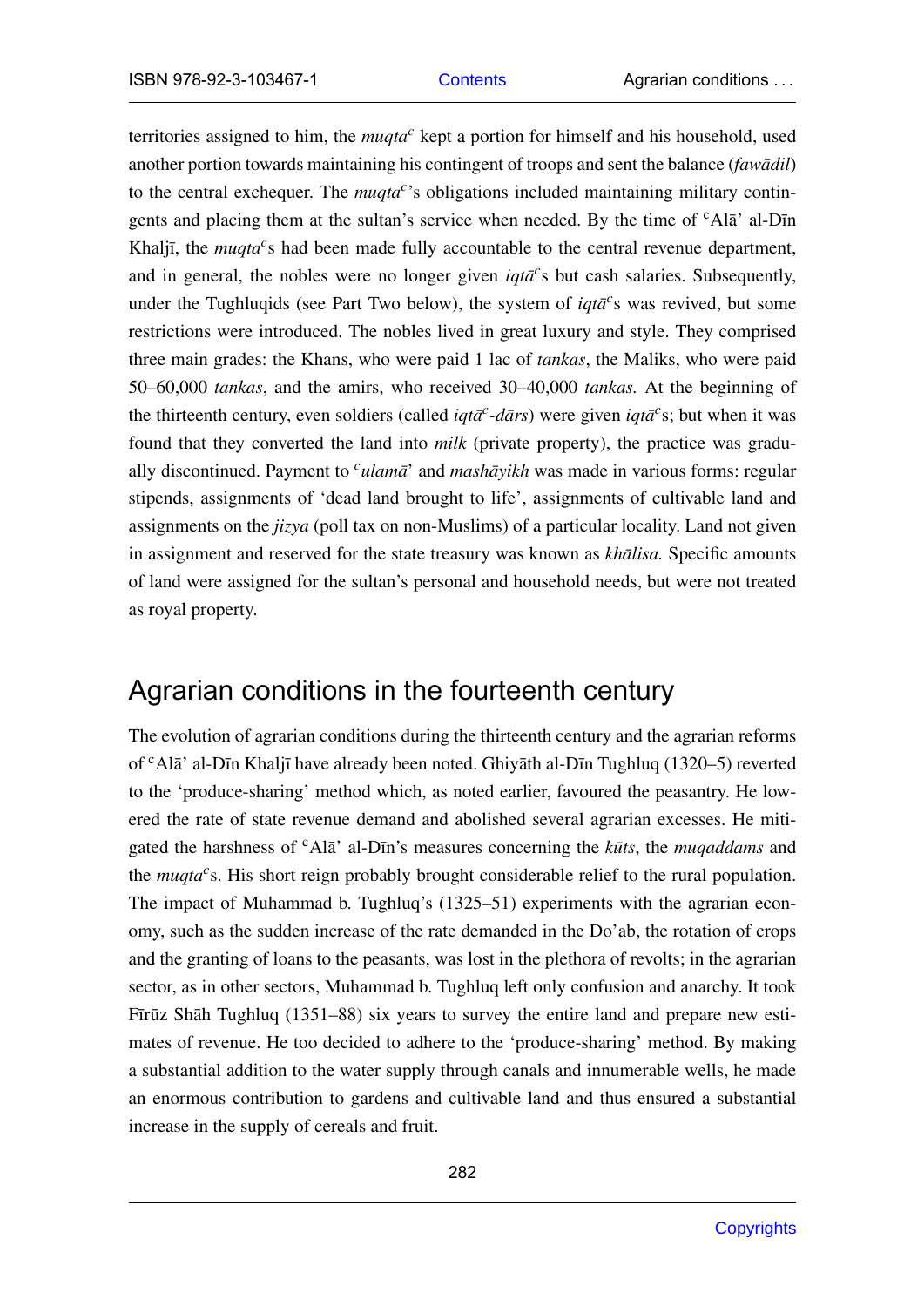territories assigned to him, the *muqta<sup>c</sup>* kept a portion for himself and his household, used another portion towards maintaining his contingent of troops and sent the balance (*fawadil*) to the central exchequer. The *muqta<sup>c</sup>* 's obligations included maintaining military contingents and placing them at the sultan's service when needed. By the time of  $c$ Al $\bar{a}$ ' al-D $\bar{n}$ Khaljī, the *muqta<sup>c</sup>*s had been made fully accountable to the central revenue department, and in general, the nobles were no longer given *iqta<sup>c</sup>s* but cash salaries. Subsequently, under the Tughluqids (see Part Two below), the system of *iqta<sup>c</sup>*s was revived, but some restrictions were introduced. The nobles lived in great luxury and style. They comprised three main grades: the Khans, who were paid 1 lac of *tankas*, the Maliks, who were paid 50–60,000 *tankas*, and the amirs, who received 30–40,000 *tankas.* At the beginning of the thirteenth century, even soldiers (called *iqta<sup>c</sup>*-dars) were given *iqta<sup>c</sup>*s; but when it was found that they converted the land into *milk* (private property), the practice was gradually discontinued. Payment to *culama*<sup> $\alpha$ </sup> and *mashavikh* was made in various forms: regular stipends, assignments of 'dead land brought to life', assignments of cultivable land and assignments on the *jizya* (poll tax on non-Muslims) of a particular locality. Land not given in assignment and reserved for the state treasury was known as *khalisa*. Specific amounts of land were assigned for the sultan's personal and household needs, but were not treated as royal property.

### Agrarian conditions in the fourteenth century

The evolution of agrarian conditions during the thirteenth century and the agrarian reforms of <sup>c</sup>Ala<sup>\*</sup> al-D<sub>I</sub>n Khaljī have already been noted. Ghiyath al-D<sub>I</sub>n Tughluq (1320–5) reverted to the 'produce-sharing' method which, as noted earlier, favoured the peasantry. He lowered the rate of state revenue demand and abolished several agrarian excesses. He mitigated the harshness of  ${}^cA\overline{a}$  al-D<sub>I</sub>n's measures concerning the *kuts*, the *mugaddams* and the *muqta<sup>c</sup>* s. His short reign probably brought considerable relief to the rural population. The impact of Muhammad b. Tughluq's (1325–51) experiments with the agrarian economy, such as the sudden increase of the rate demanded in the Do'ab, the rotation of crops and the granting of loans to the peasants, was lost in the plethora of revolts; in the agrarian sector, as in other sectors, Muhammad b. Tughluq left only confusion and anarchy. It took Firūz Shāh Tughluq  $(1351–88)$  six years to survey the entire land and prepare new estimates of revenue. He too decided to adhere to the 'produce-sharing' method. By making a substantial addition to the water supply through canals and innumerable wells, he made an enormous contribution to gardens and cultivable land and thus ensured a substantial increase in the supply of cereals and fruit.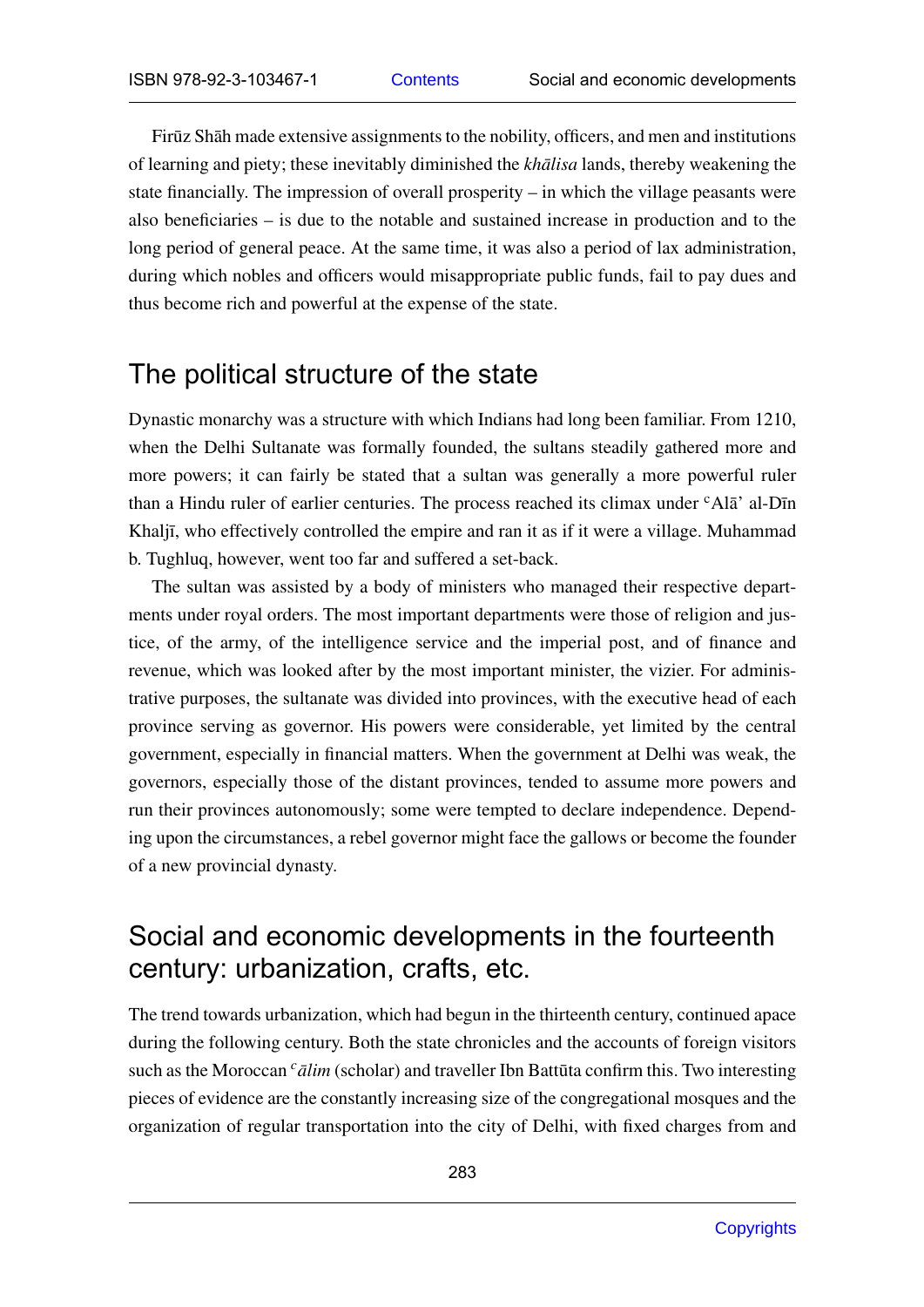Firuz Shah made extensive assignments to the nobility, officers, and men and institutions of learning and piety; these inevitably diminished the *khalisa* lands, thereby weakening the state financially. The impression of overall prosperity – in which the village peasants were also beneficiaries – is due to the notable and sustained increase in production and to the long period of general peace. At the same time, it was also a period of lax administration, during which nobles and officers would misappropriate public funds, fail to pay dues and thus become rich and powerful at the expense of the state.

### The political structure of the state

Dynastic monarchy was a structure with which Indians had long been familiar. From 1210, when the Delhi Sultanate was formally founded, the sultans steadily gathered more and more powers; it can fairly be stated that a sultan was generally a more powerful ruler than a Hindu ruler of earlier centuries. The process reached its climax under <sup>c</sup>Ala<sup>'</sup> al-D<sub>In</sub> Khaljī, who effectively controlled the empire and ran it as if it were a village. Muhammad b. Tughluq, however, went too far and suffered a set-back.

The sultan was assisted by a body of ministers who managed their respective departments under royal orders. The most important departments were those of religion and justice, of the army, of the intelligence service and the imperial post, and of finance and revenue, which was looked after by the most important minister, the vizier. For administrative purposes, the sultanate was divided into provinces, with the executive head of each province serving as governor. His powers were considerable, yet limited by the central government, especially in financial matters. When the government at Delhi was weak, the governors, especially those of the distant provinces, tended to assume more powers and run their provinces autonomously; some were tempted to declare independence. Depending upon the circumstances, a rebel governor might face the gallows or become the founder of a new provincial dynasty.

### Social and economic developments in the fourteenth century: urbanization, crafts, etc.

The trend towards urbanization, which had begun in the thirteenth century, continued apace during the following century. Both the state chronicles and the accounts of foreign visitors such as the Moroccan  $\epsilon \bar{\alpha}$ *lim* (scholar) and traveller Ibn Battuta confirm this. Two interesting pieces of evidence are the constantly increasing size of the congregational mosques and the organization of regular transportation into the city of Delhi, with fixed charges from and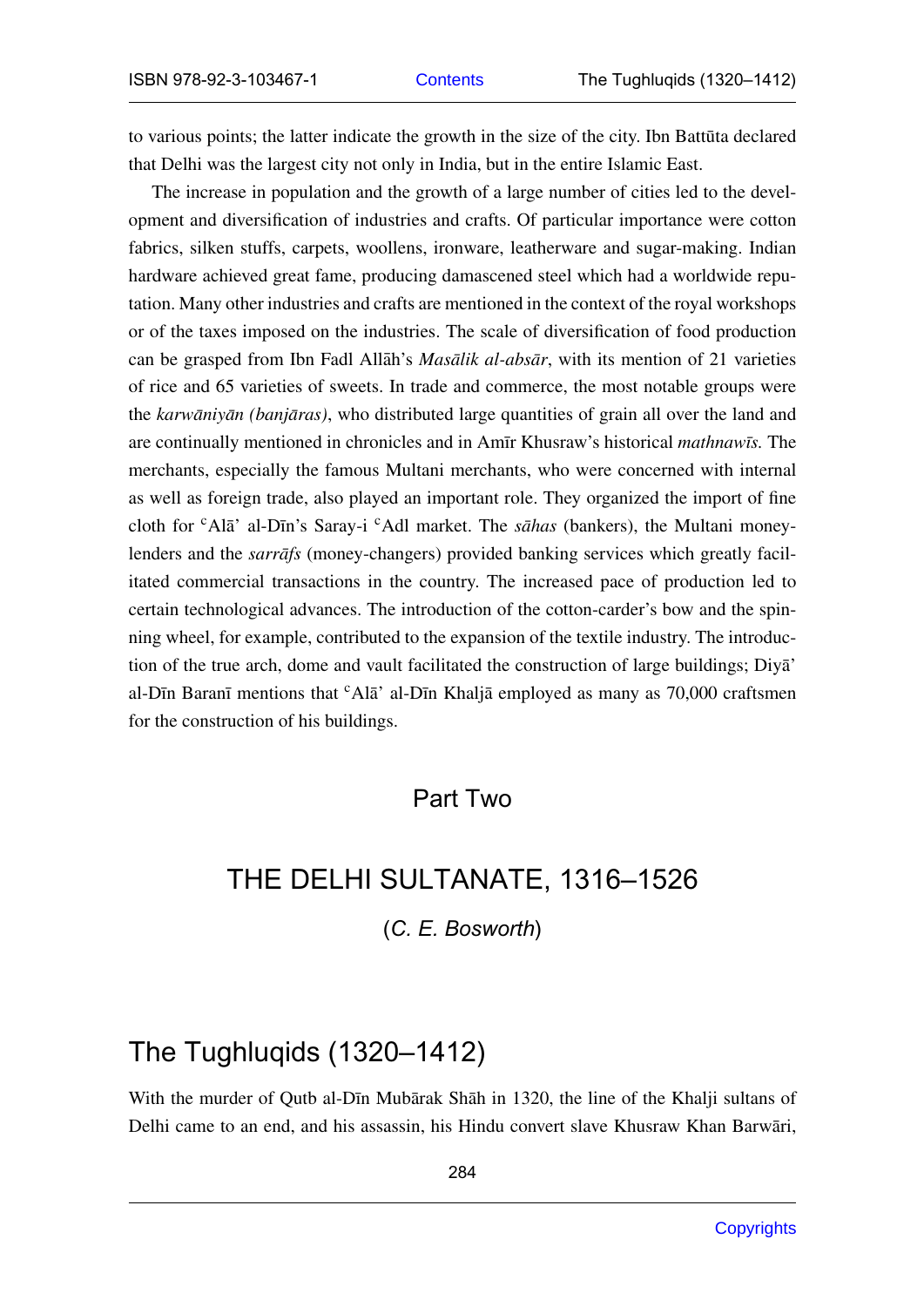to various points; the latter indicate the growth in the size of the city. Ibn Battuta declared that Delhi was the largest city not only in India, but in the entire Islamic East.

The increase in population and the growth of a large number of cities led to the development and diversification of industries and crafts. Of particular importance were cotton fabrics, silken stuffs, carpets, woollens, ironware, leatherware and sugar-making. Indian hardware achieved great fame, producing damascened steel which had a worldwide reputation. Many other industries and crafts are mentioned in the context of the royal workshops or of the taxes imposed on the industries. The scale of diversification of food production can be grasped from Ibn Fadl Allah's *Masalik al-absar*, with its mention of 21 varieties of rice and 65 varieties of sweets. In trade and commerce, the most notable groups were the *karwāniyān* (banjāras), who distributed large quantities of grain all over the land and are continually mentioned in chronicles and in Am<del><u>I</u></del>r Khusraw's historical *mathnawīs*. The merchants, especially the famous Multani merchants, who were concerned with internal as well as foreign trade, also played an important role. They organized the import of fine cloth for <sup>c</sup>Ala<sup>'</sup> al-D<sub>I</sub>n's Saray-i <sup>c</sup>Adl market. The *sahas* (bankers), the Multani moneylenders and the *sarrafs* (money-changers) provided banking services which greatly facilitated commercial transactions in the country. The increased pace of production led to certain technological advances. The introduction of the cotton-carder's bow and the spinning wheel, for example, contributed to the expansion of the textile industry. The introduction of the true arch, dome and vault facilitated the construction of large buildings; Diya<sup>†</sup> al-Dīn Baranī mentions that <sup>c</sup>Alā' al-Dīn Khaljā employed as many as 70,000 craftsmen for the construction of his buildings.

### Part Two

### THE DELHI SULTANATE, 1316–1526

(*C. E. Bosworth*)

## The Tughluqids (1320–1412)

With the murder of Qutb al-D<sub>ID</sub> Mubarak Shah in 1320, the line of the Khalji sultans of Delhi came to an end, and his assassin, his Hindu convert slave Khusraw Khan Barwari,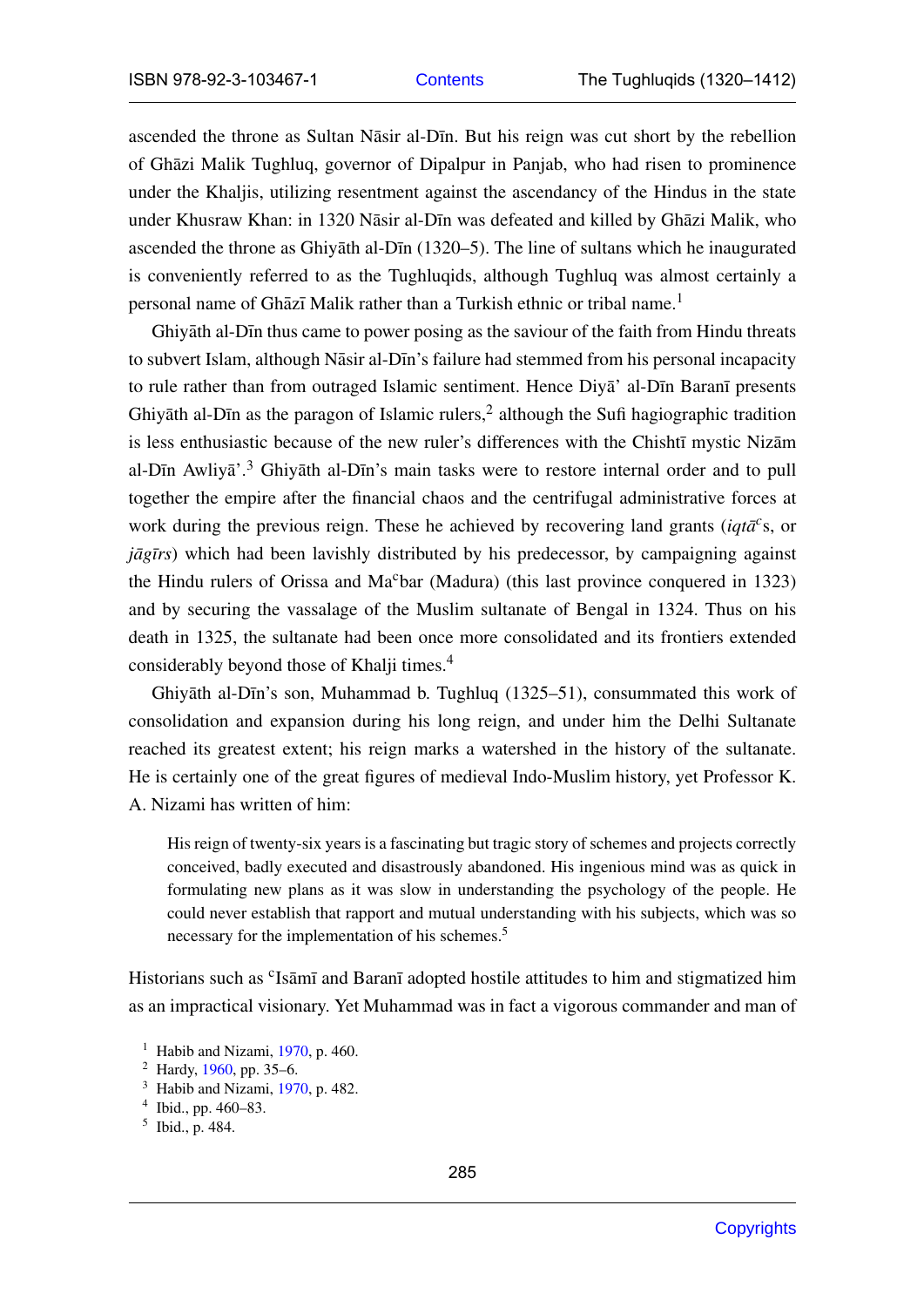ascended the throne as Sultan Nāsir al-Dīn. But his reign was cut short by the rebellion of Ghazi Malik Tughluq, governor of Dipalpur in Panjab, who had risen to prominence ¯ under the Khaljis, utilizing resentment against the ascendancy of the Hindus in the state under Khusraw Khan: in 1320 Nāsir al-Dīn was defeated and killed by Ghāzi Malik, who ascended the throne as Ghiyath al-D $\overline{u}$  (1320–5). The line of sultans which he inaugurated is conveniently referred to as the Tughluqids, although Tughluq was almost certainly a personal name of Ghazī Malik rather than a Turkish ethnic or tribal name.<sup>1</sup>

Ghiyath al-D in thus came to power posing as the saviour of the faith from Hindu threats to subvert Islam, although Nāsir al-Dīn's failure had stemmed from his personal incapacity to rule rather than from outraged Islamic sentiment. Hence Diya<sup>'</sup> al-D<sub>In</sub> Baran<del>ī</del> presents Ghiyāth al-Dīn as the paragon of Islamic rulers,<sup>2</sup> although the Sufi hagiographic tradition is less enthusiastic because of the new ruler's differences with the Chishtī mystic Nizām al-Dīn Awliyā'.<sup>3</sup> Ghiyāth al-Dīn's main tasks were to restore internal order and to pull together the empire after the financial chaos and the centrifugal administrative forces at work during the previous reign. These he achieved by recovering land grants (*iqtā*<sup>c</sup>s, or *jāgīrs*) which had been lavishly distributed by his predecessor, by campaigning against the Hindu rulers of Orissa and Macbar (Madura) (this last province conquered in 1323) and by securing the vassalage of the Muslim sultanate of Bengal in 1324. Thus on his death in 1325, the sultanate had been once more consolidated and its frontiers extended considerably beyond those of Khalji times.<sup>4</sup>

Ghiyath al-Dīn's son, Muhammad b. Tughluq (1325–51), consummated this work of consolidation and expansion during his long reign, and under him the Delhi Sultanate reached its greatest extent; his reign marks a watershed in the history of the sultanate. He is certainly one of the great figures of medieval Indo-Muslim history, yet Professor K. A. Nizami has written of him:

His reign of twenty-six years is a fascinating but tragic story of schemes and projects correctly conceived, badly executed and disastrously abandoned. His ingenious mind was as quick in formulating new plans as it was slow in understanding the psychology of the people. He could never establish that rapport and mutual understanding with his subjects, which was so necessary for the implementation of his schemes.<sup>5</sup>

Historians such as <sup>c</sup>Isāmī and Baranī adopted hostile attitudes to him and stigmatized him as an impractical visionary. Yet Muhammad was in fact a vigorous commander and man of

- $3$  Habib and Nizami, 1970, p. 482.
- 4 Ibid., pp. 460–83.

<sup>&</sup>lt;sup>1</sup> Habib and Nizami,  $1970$ , p. 460.

<sup>2</sup> Hardy, 1960, pp. 35–6.

<sup>5</sup> Ibid., p. 484.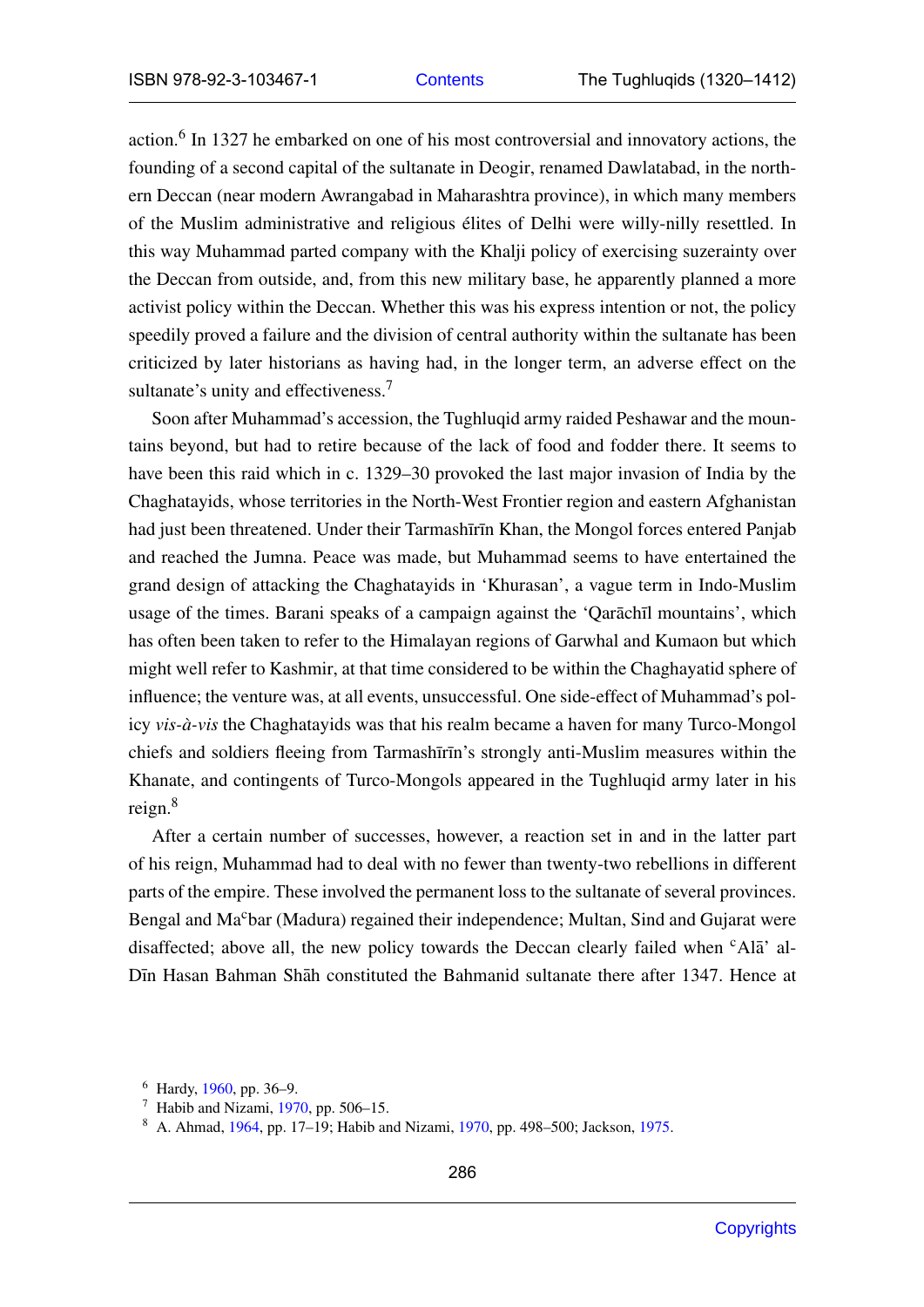action.<sup>6</sup> In 1327 he embarked on one of his most controversial and innovatory actions, the founding of a second capital of the sultanate in Deogir, renamed Dawlatabad, in the northern Deccan (near modern Awrangabad in Maharashtra province), in which many members of the Muslim administrative and religious élites of Delhi were willy-nilly resettled. In this way Muhammad parted company with the Khalji policy of exercising suzerainty over the Deccan from outside, and, from this new military base, he apparently planned a more activist policy within the Deccan. Whether this was his express intention or not, the policy speedily proved a failure and the division of central authority within the sultanate has been criticized by later historians as having had, in the longer term, an adverse effect on the sultanate's unity and effectiveness.<sup>7</sup>

Soon after Muhammad's accession, the Tughluqid army raided Peshawar and the mountains beyond, but had to retire because of the lack of food and fodder there. It seems to have been this raid which in c. 1329–30 provoked the last major invasion of India by the Chaghatayids, whose territories in the North-West Frontier region and eastern Afghanistan had just been threatened. Under their Tarmashīrīn Khan, the Mongol forces entered Panjab and reached the Jumna. Peace was made, but Muhammad seems to have entertained the grand design of attacking the Chaghatayids in 'Khurasan', a vague term in Indo-Muslim usage of the times. Barani speaks of a campaign against the 'Qarach  $\bar{a}$ l mountains', which has often been taken to refer to the Himalayan regions of Garwhal and Kumaon but which might well refer to Kashmir, at that time considered to be within the Chaghayatid sphere of influence; the venture was, at all events, unsuccessful. One side-effect of Muhammad's policy *vis-à-vis* the Chaghatayids was that his realm became a haven for many Turco-Mongol chiefs and soldiers fleeing from Tarmashīrīn's strongly anti-Muslim measures within the Khanate, and contingents of Turco-Mongols appeared in the Tughluqid army later in his reign.<sup>8</sup>

After a certain number of successes, however, a reaction set in and in the latter part of his reign, Muhammad had to deal with no fewer than twenty-two rebellions in different parts of the empire. These involved the permanent loss to the sultanate of several provinces. Bengal and Ma<sup>c</sup>bar (Madura) regained their independence; Multan, Sind and Gujarat were disaffected; above all, the new policy towards the Deccan clearly failed when  $c$ Ala<sup> $\cdot$ </sup> al-D<sub>I</sub>n Hasan Bahman Shah constituted the Bahmanid sultanate there after 1347. Hence at

<sup>6</sup> Hardy, 1960, pp. 36–9.

 $^7$  Habib and Nizami, 1970, pp. 506–15.

<sup>8</sup> A. Ahmad, 1964, pp. 17–19; Habib and Nizami, 1970, pp. 498–500; Jackson, 1975.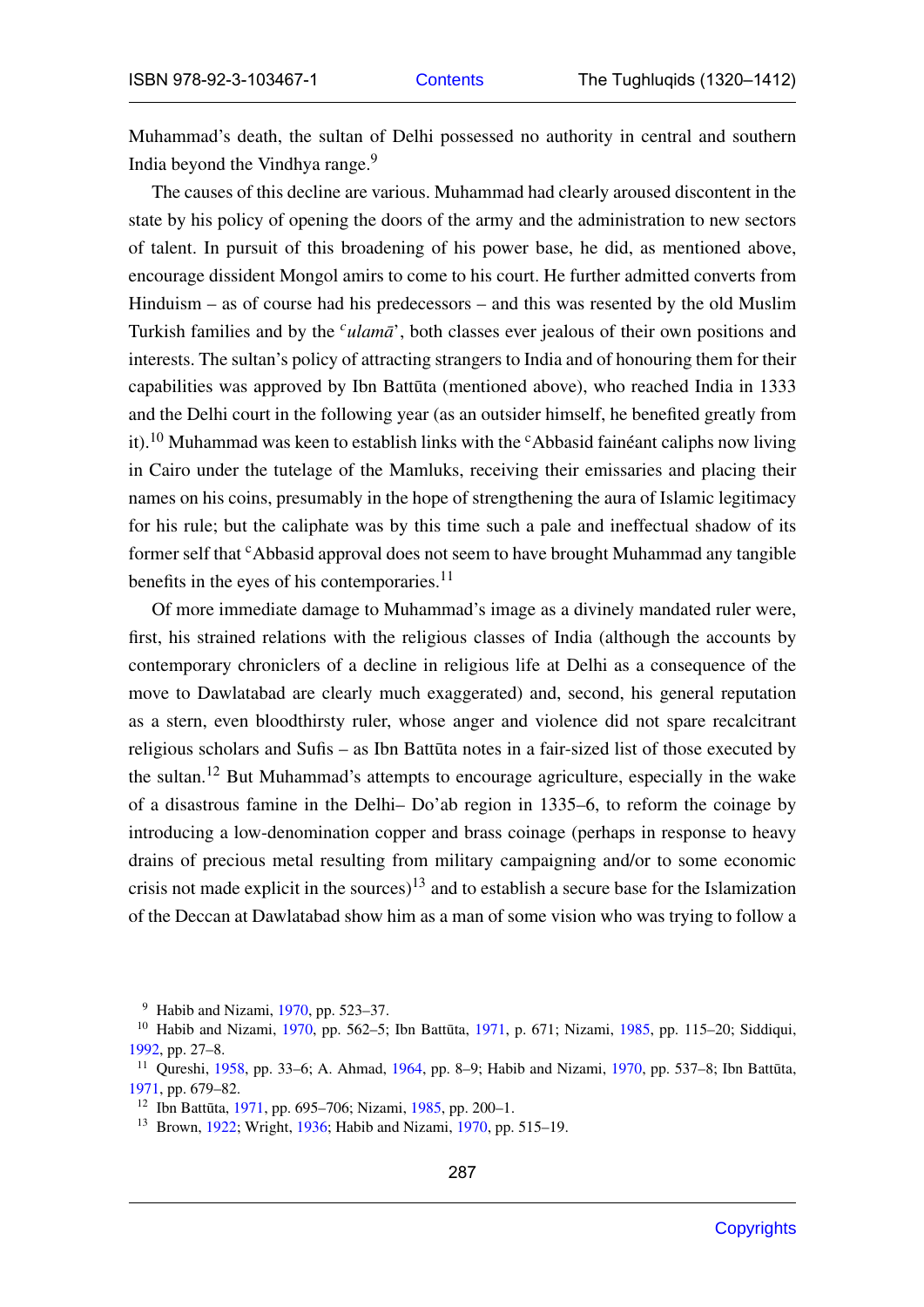Muhammad's death, the sultan of Delhi possessed no authority in central and southern India beyond the Vindhya range.<sup>9</sup>

The causes of this decline are various. Muhammad had clearly aroused discontent in the state by his policy of opening the doors of the army and the administration to new sectors of talent. In pursuit of this broadening of his power base, he did, as mentioned above, encourage dissident Mongol amirs to come to his court. He further admitted converts from Hinduism – as of course had his predecessors – and this was resented by the old Muslim Turkish families and by the *<sup>c</sup>ulama¯*', both classes ever jealous of their own positions and interests. The sultan's policy of attracting strangers to India and of honouring them for their capabilities was approved by Ibn Battūta (mentioned above), who reached India in 1333 and the Delhi court in the following year (as an outsider himself, he benefited greatly from it).<sup>10</sup> Muhammad was keen to establish links with the <sup>c</sup>Abbasid fainéant caliphs now living in Cairo under the tutelage of the Mamluks, receiving their emissaries and placing their names on his coins, presumably in the hope of strengthening the aura of Islamic legitimacy for his rule; but the caliphate was by this time such a pale and ineffectual shadow of its former self that <sup>c</sup>Abbasid approval does not seem to have brought Muhammad any tangible benefits in the eyes of his contemporaries. $11$ 

Of more immediate damage to Muhammad's image as a divinely mandated ruler were, first, his strained relations with the religious classes of India (although the accounts by contemporary chroniclers of a decline in religious life at Delhi as a consequence of the move to Dawlatabad are clearly much exaggerated) and, second, his general reputation as a stern, even bloodthirsty ruler, whose anger and violence did not spare recalcitrant religious scholars and Sufis – as Ibn Battūta notes in a fair-sized list of those executed by the sultan.<sup>12</sup> But Muhammad's attempts to encourage agriculture, especially in the wake of a disastrous famine in the Delhi– Do'ab region in 1335–6, to reform the coinage by introducing a low-denomination copper and brass coinage (perhaps in response to heavy drains of precious metal resulting from military campaigning and/or to some economic crisis not made explicit in the sources)<sup>13</sup> and to establish a secure base for the Islamization of the Deccan at Dawlatabad show him as a man of some vision who was trying to follow a

<sup>&</sup>lt;sup>9</sup> Habib and Nizami, 1970, pp. 523–37.

 $10$  Habib and Nizami, 1970, pp. 562–5; Ibn Battūta, 1971, p. 671; Nizami, 1985, pp. 115–20; Siddiqui, 1992, pp. 27–8.

 $11$  Qureshi, 1958, pp. 33–6; A. Ahmad, 1964, pp. 8–9; Habib and Nizami, 1970, pp. 537–8; Ibn Battūta, 1971, pp. 679–82.

 $12$  Ibn Battūta, 1971, pp. 695–706; Nizami, 1985, pp. 200–1.

<sup>13</sup> Brown, 1922; Wright, 1936; Habib and Nizami, 1970, pp. 515–19.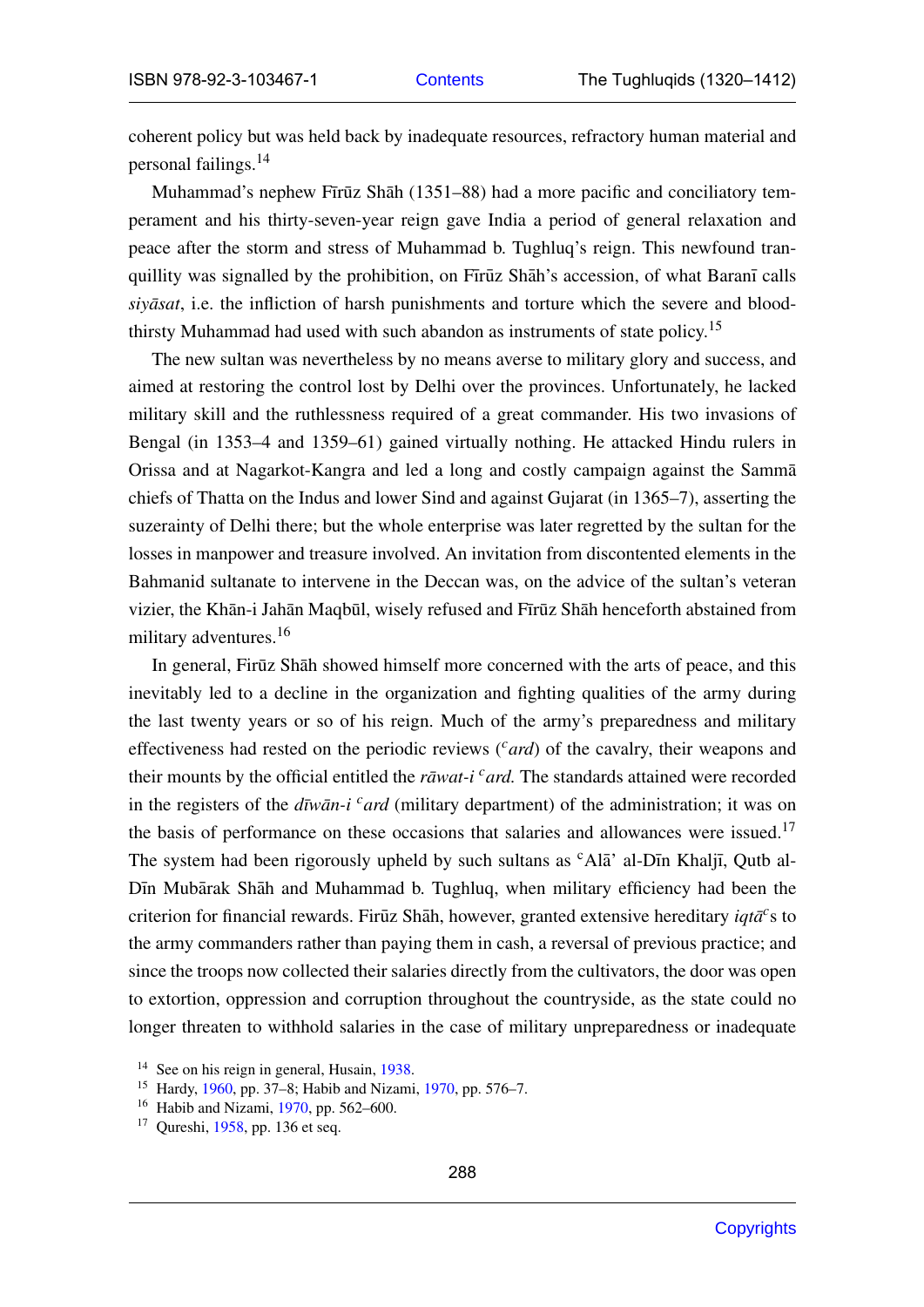coherent policy but was held back by inadequate resources, refractory human material and personal failings.<sup>14</sup>

Muhammad's nephew Fīrūz Shāh (1351–88) had a more pacific and conciliatory temperament and his thirty-seven-year reign gave India a period of general relaxation and peace after the storm and stress of Muhammad b. Tughluq's reign. This newfound tranquillity was signalled by the prohibition, on Fīrūz Shāh's accession, of what Baranī calls *siyasat*, *i.e.* the infliction of harsh punishments and torture which the severe and bloodthirsty Muhammad had used with such abandon as instruments of state policy.<sup>15</sup>

The new sultan was nevertheless by no means averse to military glory and success, and aimed at restoring the control lost by Delhi over the provinces. Unfortunately, he lacked military skill and the ruthlessness required of a great commander. His two invasions of Bengal (in 1353–4 and 1359–61) gained virtually nothing. He attacked Hindu rulers in Orissa and at Nagarkot-Kangra and led a long and costly campaign against the Samma chiefs of Thatta on the Indus and lower Sind and against Gujarat (in 1365–7), asserting the suzerainty of Delhi there; but the whole enterprise was later regretted by the sultan for the losses in manpower and treasure involved. An invitation from discontented elements in the Bahmanid sultanate to intervene in the Deccan was, on the advice of the sultan's veteran vizier, the Khān-i Jahān Maqbūl, wisely refused and Fīrūz Shāh henceforth abstained from military adventures.<sup>16</sup>

In general, Firuz Shah showed himself more concerned with the arts of peace, and this inevitably led to a decline in the organization and fighting qualities of the army during the last twenty years or so of his reign. Much of the army's preparedness and military effectiveness had rested on the periodic reviews (*card*) of the cavalry, their weapons and their mounts by the official entitled the *rāwat-i* <sup>*c*</sup> ard. The standards attained were recorded in the registers of the  $d\bar{w}$ *an-i* <sup>*c*</sup> ard (military department) of the administration; it was on the basis of performance on these occasions that salaries and allowances were issued.<sup>17</sup> The system had been rigorously upheld by such sultans as  $c$ Al $\bar{a}$ ' al-D $\bar{n}$  Khalj $\bar{i}$ , Qutb al-D<sub>In</sub> Mubarak Shah and Muhammad b. Tughluq, when military efficiency had been the criterion for financial rewards. Firūz Shāh, however, granted extensive hereditary *iqtā<sup>c</sup>*s to the army commanders rather than paying them in cash, a reversal of previous practice; and since the troops now collected their salaries directly from the cultivators, the door was open to extortion, oppression and corruption throughout the countryside, as the state could no longer threaten to withhold salaries in the case of military unpreparedness or inadequate

<sup>&</sup>lt;sup>14</sup> See on his reign in general, Husain, 1938.

<sup>15</sup> Hardy, 1960, pp. 37–8; Habib and Nizami, 1970, pp. 576–7.

<sup>&</sup>lt;sup>16</sup> Habib and Nizami, 1970, pp. 562–600.

<sup>17</sup> Qureshi, 1958, pp. 136 et seq.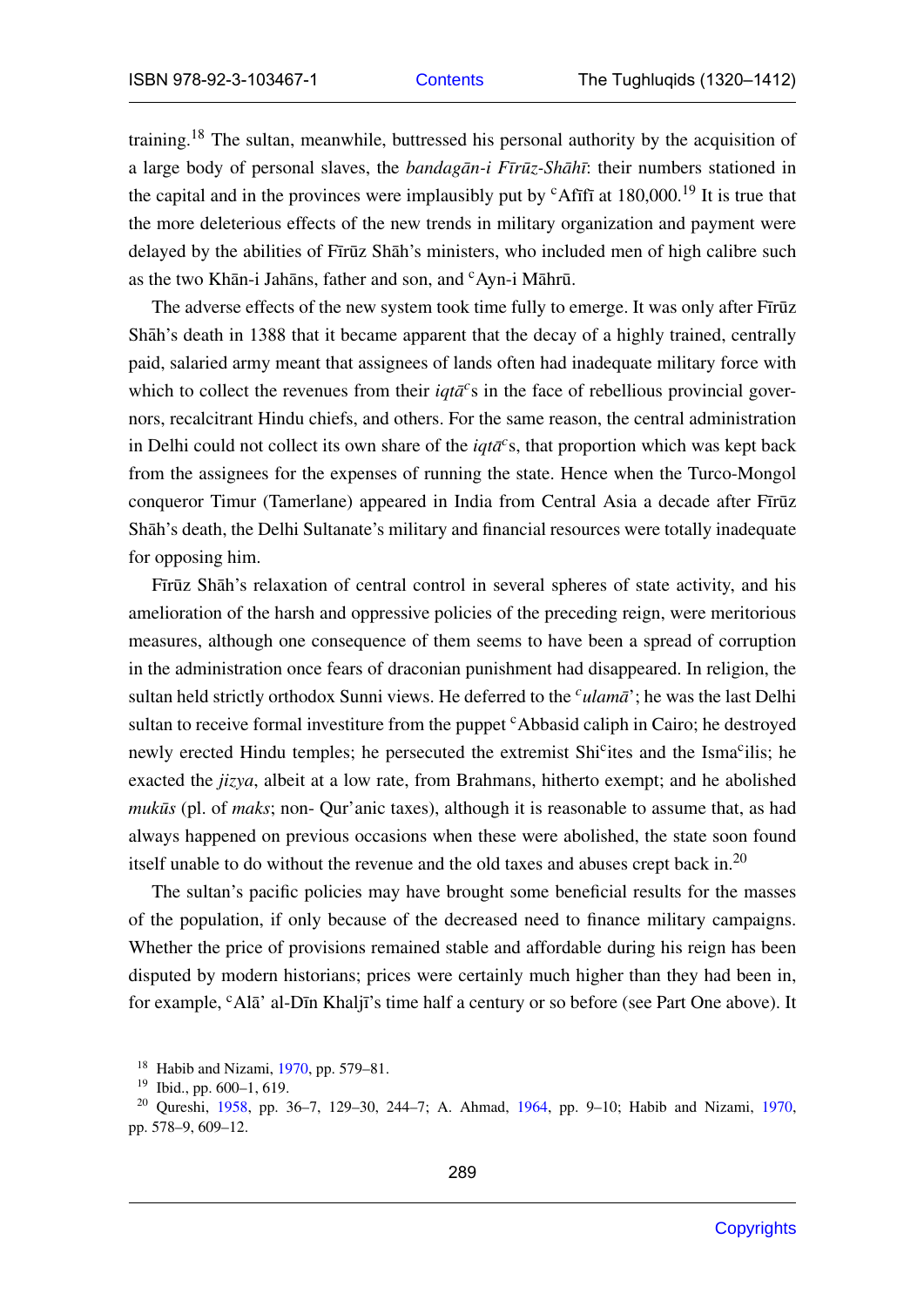training.<sup>18</sup> The sultan, meanwhile, buttressed his personal authority by the acquisition of a large body of personal slaves, the *bandagan-i Fīrūz-Shāhī*: their numbers stationed in the capital and in the provinces were implausibly put by <sup>c</sup>Afifi at  $180,000$ .<sup>19</sup> It is true that the more deleterious effects of the new trends in military organization and payment were delayed by the abilities of Fīrūz Shāh's ministers, who included men of high calibre such as the two Khān-i Jahāns, father and son, and <sup>c</sup>Ayn-i Māhrū.

The adverse effects of the new system took time fully to emerge. It was only after Firūz Shah's death in 1388 that it became apparent that the decay of a highly trained, centrally paid, salaried army meant that assignees of lands often had inadequate military force with which to collect the revenues from their *iqta<sup>c</sup>*s in the face of rebellious provincial governors, recalcitrant Hindu chiefs, and others. For the same reason, the central administration in Delhi could not collect its own share of the *iqta<sup>c</sup>*s, that proportion which was kept back from the assignees for the expenses of running the state. Hence when the Turco-Mongol conqueror Timur (Tamerlane) appeared in India from Central Asia a decade after Fīrūz Shah's death, the Delhi Sultanate's military and financial resources were totally inadequate ¯ for opposing him.

Firūz Shāh's relaxation of central control in several spheres of state activity, and his amelioration of the harsh and oppressive policies of the preceding reign, were meritorious measures, although one consequence of them seems to have been a spread of corruption in the administration once fears of draconian punishment had disappeared. In religion, the sultan held strictly orthodox Sunni views. He deferred to the <sup>*c*</sup>*ulama*'; he was the last Delhi sultan to receive formal investiture from the puppet <sup>c</sup>Abbasid caliph in Cairo; he destroyed newly erected Hindu temples; he persecuted the extremist Shi<sup>c</sup>ites and the Isma<sup>c</sup>ilis; he exacted the *jizya*, albeit at a low rate, from Brahmans, hitherto exempt; and he abolished *mukūs* (pl. of *maks*; non- Qur'anic taxes), although it is reasonable to assume that, as had always happened on previous occasions when these were abolished, the state soon found itself unable to do without the revenue and the old taxes and abuses crept back in.<sup>20</sup>

The sultan's pacific policies may have brought some beneficial results for the masses of the population, if only because of the decreased need to finance military campaigns. Whether the price of provisions remained stable and affordable during his reign has been disputed by modern historians; prices were certainly much higher than they had been in, for example, <sup>c</sup>Ala<sup>'</sup> al-D<sub>I</sub>n Khaljī's time half a century or so before (see Part One above). It

<sup>18</sup> Habib and Nizami, 1970, pp. 579–81.

 $19$  Ibid., pp. 600–1, 619.

<sup>20</sup> Qureshi, 1958, pp. 36–7, 129–30, 244–7; A. Ahmad, 1964, pp. 9–10; Habib and Nizami, 1970, pp. 578–9, 609–12.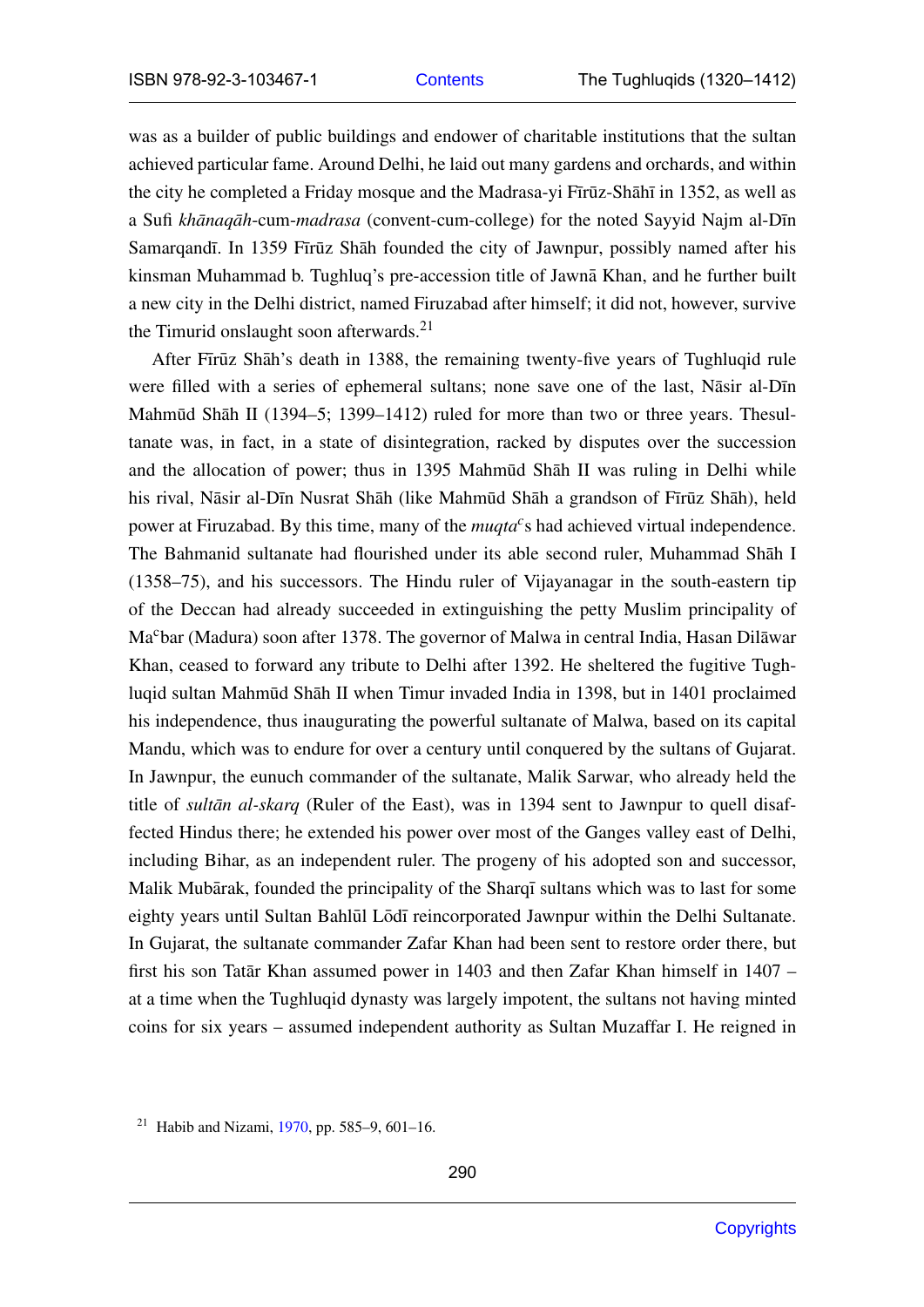was as a builder of public buildings and endower of charitable institutions that the sultan achieved particular fame. Around Delhi, he laid out many gardens and orchards, and within the city he completed a Friday mosque and the Madrasa-yi Fīrūz-Shāhī in 1352, as well as a Sufi *khānaqāh*-cum-*madrasa* (convent-cum-college) for the noted Sayyid Najm al-Dīn Samarqandī. In 1359 Fīrūz Shāh founded the city of Jawnpur, possibly named after his kinsman Muhammad b. Tughluq's pre-accession title of Jawna Khan, and he further built a new city in the Delhi district, named Firuzabad after himself; it did not, however, survive the Timurid onslaught soon afterwards.<sup>21</sup>

After Fīrūz Shāh's death in 1388, the remaining twenty-five years of Tughluqid rule were filled with a series of ephemeral sultans; none save one of the last, Nasir al-D<sub>ID</sub> Mahmūd Shāh II (1394–5; 1399–1412) ruled for more than two or three years. Thesultanate was, in fact, in a state of disintegration, racked by disputes over the succession and the allocation of power; thus in 1395 Mahmud Shah II was ruling in Delhi while his rival, Nāsir al-Dīn Nusrat Shāh (like Mahmūd Shāh a grandson of Fīrūz Shāh), held power at Firuzabad. By this time, many of the *muqta<sup>c</sup>* s had achieved virtual independence. The Bahmanid sultanate had flourished under its able second ruler, Muhammad Shah I (1358–75), and his successors. The Hindu ruler of Vijayanagar in the south-eastern tip of the Deccan had already succeeded in extinguishing the petty Muslim principality of Ma<sup>c</sup>bar (Madura) soon after 1378. The governor of Malwa in central India, Hasan Dil<del>awar</del> Khan, ceased to forward any tribute to Delhi after 1392. He sheltered the fugitive Tughluqid sultan Mahmud Shah II when Timur invaded India in 1398, but in 1401 proclaimed his independence, thus inaugurating the powerful sultanate of Malwa, based on its capital Mandu, which was to endure for over a century until conquered by the sultans of Gujarat. In Jawnpur, the eunuch commander of the sultanate, Malik Sarwar, who already held the title of *sultān al-skarq* (Ruler of the East), was in 1394 sent to Jawnpur to quell disaffected Hindus there; he extended his power over most of the Ganges valley east of Delhi, including Bihar, as an independent ruler. The progeny of his adopted son and successor, Malik Mubarak, founded the principality of the Sharq sultans which was to last for some eighty years until Sultan Bahlūl Lodi reincorporated Jawnpur within the Delhi Sultanate. In Gujarat, the sultanate commander Zafar Khan had been sent to restore order there, but first his son Tatar Khan assumed power in  $1403$  and then Zafar Khan himself in  $1407$ at a time when the Tughluqid dynasty was largely impotent, the sultans not having minted coins for six years – assumed independent authority as Sultan Muzaffar I. He reigned in

<sup>&</sup>lt;sup>21</sup> Habib and Nizami, 1970, pp. 585–9, 601–16.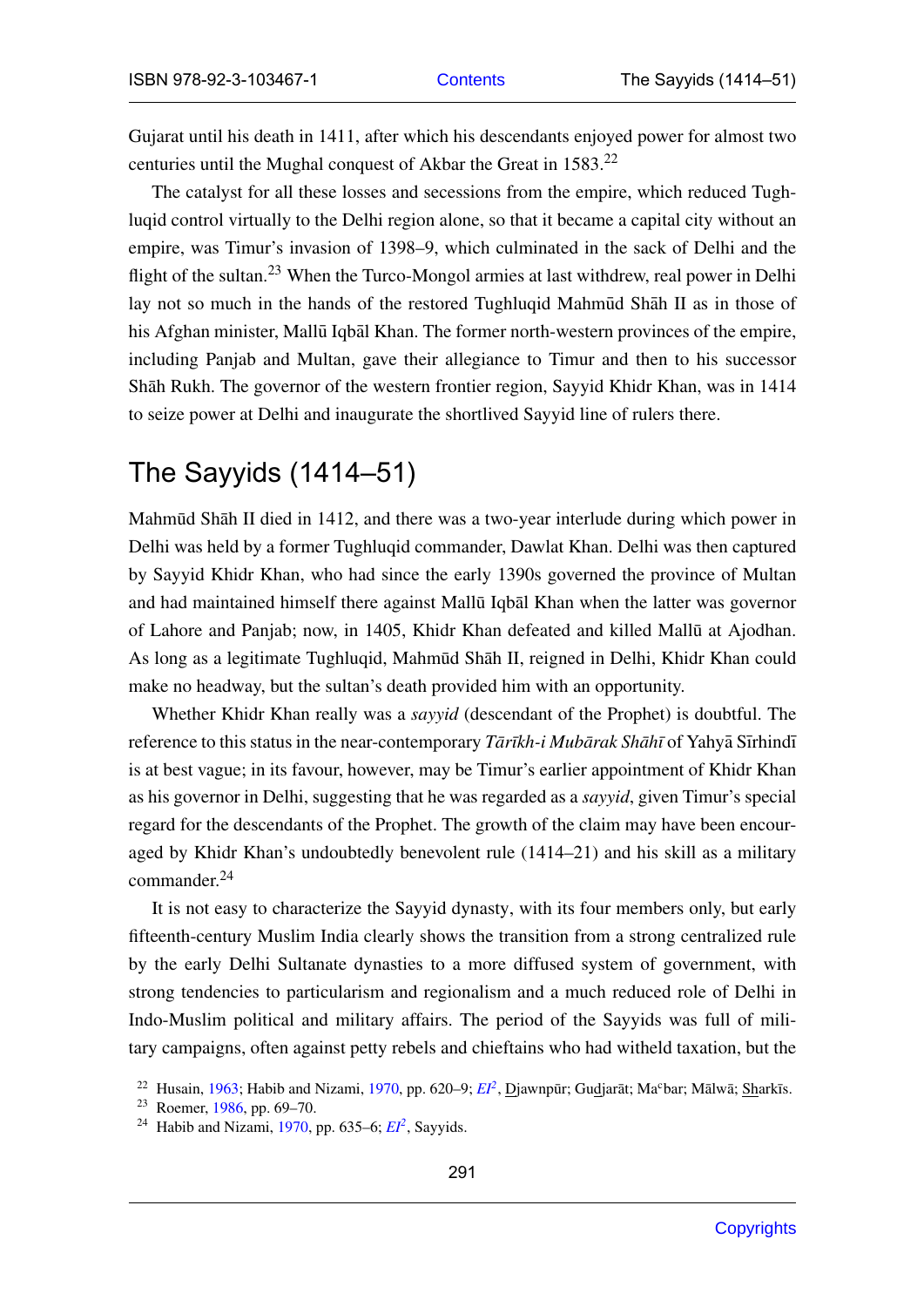Gujarat until his death in 1411, after which his descendants enjoyed power for almost two centuries until the Mughal conquest of Akbar the Great in  $1583<sup>22</sup>$ 

The catalyst for all these losses and secessions from the empire, which reduced Tughluqid control virtually to the Delhi region alone, so that it became a capital city without an empire, was Timur's invasion of 1398–9, which culminated in the sack of Delhi and the flight of the sultan.<sup>23</sup> When the Turco-Mongol armies at last withdrew, real power in Delhi lay not so much in the hands of the restored Tughluqid Mahmud Shah II as in those of his Afghan minister, Mallū Iqbāl Khan. The former north-western provinces of the empire, including Panjab and Multan, gave their allegiance to Timur and then to his successor Shāh Rukh. The governor of the western frontier region, Sayyid Khidr Khan, was in 1414 to seize power at Delhi and inaugurate the shortlived Sayyid line of rulers there.

# The Sayyids (1414–51)

Mahmūd Shāh II died in 1412, and there was a two-year interlude during which power in Delhi was held by a former Tughluqid commander, Dawlat Khan. Delhi was then captured by Sayyid Khidr Khan, who had since the early 1390s governed the province of Multan and had maintained himself there against Mallu Iqbal Khan when the latter was governor of Lahore and Panjab; now, in 1405, Khidr Khan defeated and killed Mallu at Ajodhan. ¯ As long as a legitimate Tughluqid, Mahmūd Shāh II, reigned in Delhi, Khidr Khan could make no headway, but the sultan's death provided him with an opportunity.

Whether Khidr Khan really was a *sayyid* (descendant of the Prophet) is doubtful. The reference to this status in the near-contemporary *Tārīkh-i Mubārak Shāhī* of Yahyā Sīrhindī is at best vague; in its favour, however, may be Timur's earlier appointment of Khidr Khan as his governor in Delhi, suggesting that he was regarded as a *sayyid*, given Timur's special regard for the descendants of the Prophet. The growth of the claim may have been encouraged by Khidr Khan's undoubtedly benevolent rule (1414–21) and his skill as a military commander.<sup>24</sup>

It is not easy to characterize the Sayyid dynasty, with its four members only, but early fifteenth-century Muslim India clearly shows the transition from a strong centralized rule by the early Delhi Sultanate dynasties to a more diffused system of government, with strong tendencies to particularism and regionalism and a much reduced role of Delhi in Indo-Muslim political and military affairs. The period of the Sayyids was full of military campaigns, often against petty rebels and chieftains who had witheld taxation, but the

 $^{22}$  Husain, 1963; Habib and Nizami, 1970, pp. 620–9;  $EI^2$ , Djawnpūr; Gudjarāt; Ma<sup>c</sup>bar; Mālwā; <u>Sh</u>arkīs.

<sup>23</sup> Roemer, 1986, pp. 69–70.

<sup>24</sup> Habib and Nizami, 1970, pp. 635–6; *EI<sup>2</sup>* , Sayyids.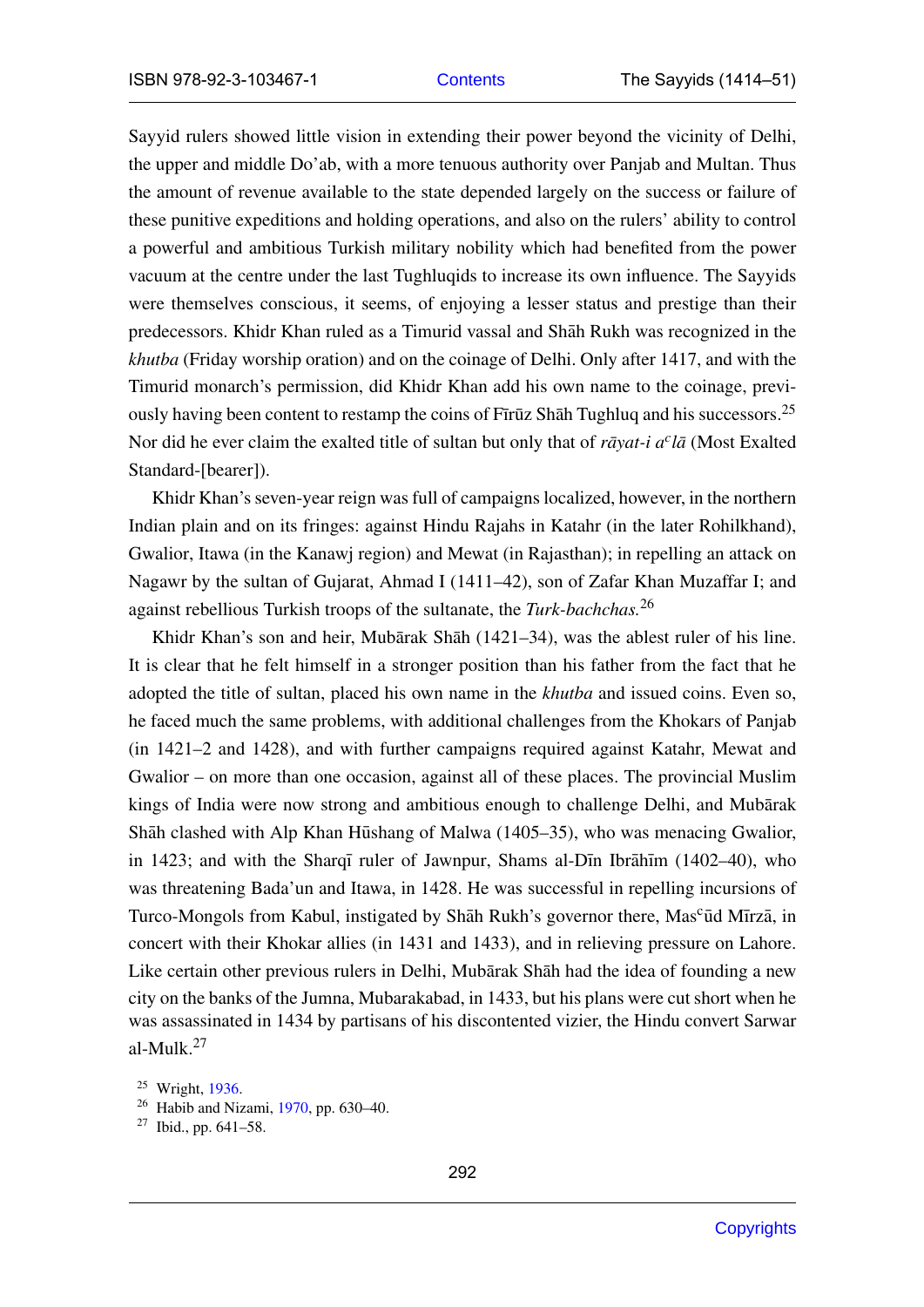Sayyid rulers showed little vision in extending their power beyond the vicinity of Delhi, the upper and middle Do'ab, with a more tenuous authority over Panjab and Multan. Thus the amount of revenue available to the state depended largely on the success or failure of these punitive expeditions and holding operations, and also on the rulers' ability to control a powerful and ambitious Turkish military nobility which had benefited from the power vacuum at the centre under the last Tughluqids to increase its own influence. The Sayyids were themselves conscious, it seems, of enjoying a lesser status and prestige than their predecessors. Khidr Khan ruled as a Timurid vassal and Shah Rukh was recognized in the ¯ *khutba* (Friday worship oration) and on the coinage of Delhi. Only after 1417, and with the Timurid monarch's permission, did Khidr Khan add his own name to the coinage, previously having been content to restamp the coins of Fīrūz Shāh Tughluq and his successors.<sup>25</sup> Nor did he ever claim the exalted title of sultan but only that of *rāyat-i a<sup>c</sup>lā* (Most Exalted Standard-[bearer]).

Khidr Khan's seven-year reign was full of campaigns localized, however, in the northern Indian plain and on its fringes: against Hindu Rajahs in Katahr (in the later Rohilkhand), Gwalior, Itawa (in the Kanawj region) and Mewat (in Rajasthan); in repelling an attack on Nagawr by the sultan of Gujarat, Ahmad I (1411–42), son of Zafar Khan Muzaffar I; and against rebellious Turkish troops of the sultanate, the *Turk-bachchas.*<sup>26</sup>

Khidr Khan's son and heir, Mubarak Shah (1421–34), was the ablest ruler of his line. It is clear that he felt himself in a stronger position than his father from the fact that he adopted the title of sultan, placed his own name in the *khutba* and issued coins. Even so, he faced much the same problems, with additional challenges from the Khokars of Panjab (in 1421–2 and 1428), and with further campaigns required against Katahr, Mewat and Gwalior – on more than one occasion, against all of these places. The provincial Muslim kings of India were now strong and ambitious enough to challenge Delhi, and Mubarak Shah clashed with Alp Khan Hushang of Malwa  $(1405-35)$ , who was menacing Gwalior, in 1423; and with the Sharq $\bar{I}$  ruler of Jawnpur, Shams al-D $\bar{I}$ n Ibr $\bar{a}$ h $\bar{I}$ m (1402–40), who was threatening Bada'un and Itawa, in 1428. He was successful in repelling incursions of Turco-Mongols from Kabul, instigated by Shah Rukh's governor there, Mas<sup>c</sup>ud Mirza, in concert with their Khokar allies (in 1431 and 1433), and in relieving pressure on Lahore. Like certain other previous rulers in Delhi, Mubarak Shah had the idea of founding a new city on the banks of the Jumna, Mubarakabad, in 1433, but his plans were cut short when he was assassinated in 1434 by partisans of his discontented vizier, the Hindu convert Sarwar al-Mulk. $27$ 

<sup>25</sup> Wright, 1936.

<sup>&</sup>lt;sup>26</sup> Habib and Nizami,  $1970$ , pp. 630–40.

<sup>27</sup> Ibid., pp. 641–58.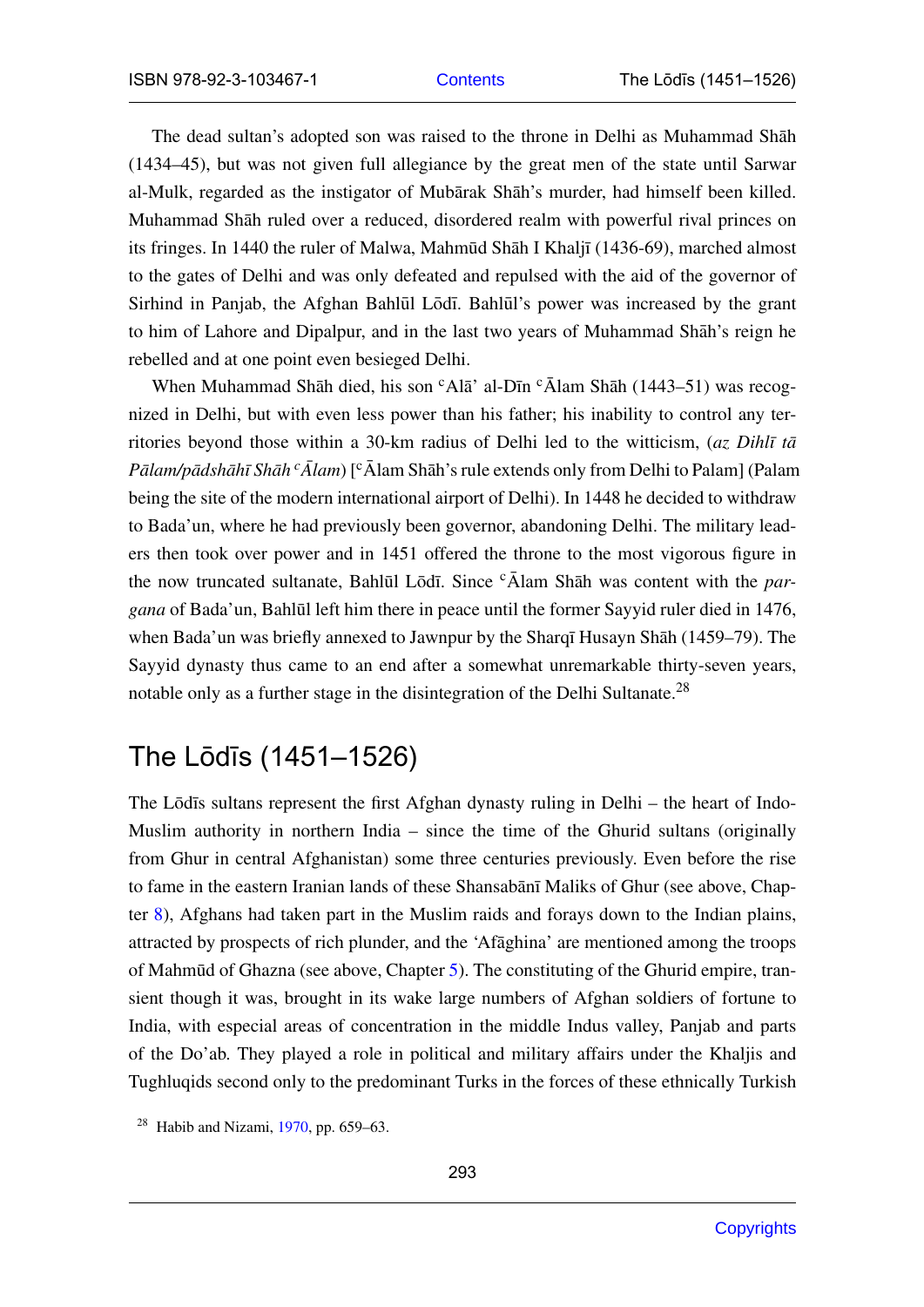The dead sultan's adopted son was raised to the throne in Delhi as Muhammad Shah (1434–45), but was not given full allegiance by the great men of the state until Sarwar al-Mulk, regarded as the instigator of Mubarak Shah's murder, had himself been killed. Muhammad Shah ruled over a reduced, disordered realm with powerful rival princes on ¯ its fringes. In 1440 the ruler of Malwa, Mahmud Shah I Khaljī (1436-69), marched almost to the gates of Delhi and was only defeated and repulsed with the aid of the governor of Sirhind in Panjab, the Afghan Bahlūl Lodī. Bahlūl's power was increased by the grant to him of Lahore and Dipalpur, and in the last two years of Muhammad Shah's reign he rebelled and at one point even besieged Delhi.

When Muhammad Shāh died, his son <sup>c</sup>Alā' al-Dīn <sup>c</sup>Ālam Shāh (1443–51) was recognized in Delhi, but with even less power than his father; his inability to control any territories beyond those within a 30-km radius of Delhi led to the witticism, (*az Dihlī tā Pālam/pādshāhī Shāh <sup>c</sup> Ālam*) [<sup>c</sup> Ālam Shāh's rule extends only from Delhi to Palam] (Palam being the site of the modern international airport of Delhi). In 1448 he decided to withdraw to Bada'un, where he had previously been governor, abandoning Delhi. The military leaders then took over power and in 1451 offered the throne to the most vigorous figure in the now truncated sultanate, Bahlūl Lōdī. Since <sup>c</sup>Alam Shāh was content with the pargana of Bada'un, Bahlūl left him there in peace until the former Sayyid ruler died in 1476, when Bada'un was briefly annexed to Jawnpur by the Sharqī Husayn Shāh (1459–79). The Sayyid dynasty thus came to an end after a somewhat unremarkable thirty-seven years, notable only as a further stage in the disintegration of the Delhi Sultanate.<sup>28</sup>

## The Lodis (1451–1526)

The Lodis sultans represent the first Afghan dynasty ruling in Delhi – the heart of Indo-Muslim authority in northern India – since the time of the Ghurid sultans (originally from Ghur in central Afghanistan) some three centuries previously. Even before the rise to fame in the eastern Iranian lands of these Shansaban<del>t</del> Maliks of Ghur (see above, Chapter 8), Afghans had taken part in the Muslim raids and forays down to the Indian plains, attracted by prospects of rich plunder, and the 'Afaghina' are mentioned among the troops ¯ of Mahmud of Ghazna (see above, Chapter 5). The constituting of the Ghurid empire, transient though it was, brought in its wake large numbers of Afghan soldiers of fortune to India, with especial areas of concentration in the middle Indus valley, Panjab and parts of the Do'ab. They played a role in political and military affairs under the Khaljis and Tughluqids second only to the predominant Turks in the forces of these ethnically Turkish

<sup>28</sup> Habib and Nizami, 1970, pp. 659–63.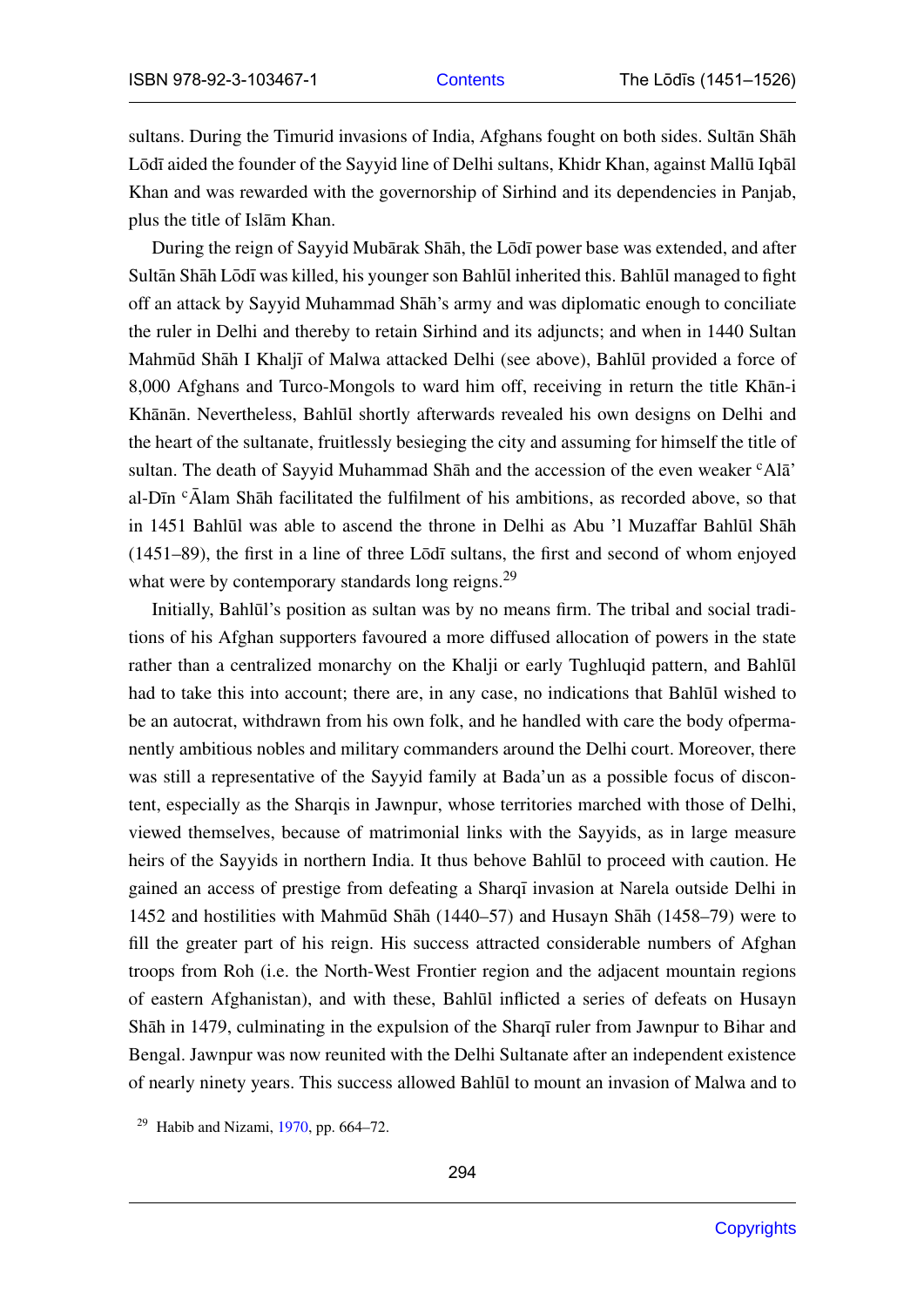sultans. During the Timurid invasions of India, Afghans fought on both sides. Sultan Shah Lōdī aided the founder of the Sayyid line of Delhi sultans, Khidr Khan, against Mallū Iqbal Khan and was rewarded with the governorship of Sirhind and its dependencies in Panjab, plus the title of Islam Khan. ¯

During the reign of Sayyid Mubarak Shah, the Lodi power base was extended, and after Sultān Shāh Lōdī was killed, his younger son Bahlūl inherited this. Bahlūl managed to fight off an attack by Sayyid Muhammad Shah's army and was diplomatic enough to conciliate ¯ the ruler in Delhi and thereby to retain Sirhind and its adjuncts; and when in 1440 Sultan Mahmūd Shāh I Khaljī of Malwa attacked Delhi (see above), Bahlūl provided a force of 8,000 Afghans and Turco-Mongols to ward him off, receiving in return the title Khan-i Khānān. Nevertheless, Bahlūl shortly afterwards revealed his own designs on Delhi and the heart of the sultanate, fruitlessly besieging the city and assuming for himself the title of sultan. The death of Sayyid Muhammad Shah and the accession of the even weaker <sup>c</sup>Ala<sup>7</sup> al-Dīn  $c\bar{A}$ lam Shāh facilitated the fulfilment of his ambitions, as recorded above, so that in 1451 Bahlūl was able to ascend the throne in Delhi as Abu 'l Muzaffar Bahlūl Shāh  $(1451–89)$ , the first in a line of three Lodi sultans, the first and second of whom enjoyed what were by contemporary standards long reigns.<sup>29</sup>

Initially, Bahlūl's position as sultan was by no means firm. The tribal and social traditions of his Afghan supporters favoured a more diffused allocation of powers in the state rather than a centralized monarchy on the Khalji or early Tughluqid pattern, and Bahlul had to take this into account; there are, in any case, no indications that Bahlul wished to be an autocrat, withdrawn from his own folk, and he handled with care the body ofpermanently ambitious nobles and military commanders around the Delhi court. Moreover, there was still a representative of the Sayyid family at Bada'un as a possible focus of discontent, especially as the Sharqis in Jawnpur, whose territories marched with those of Delhi, viewed themselves, because of matrimonial links with the Sayyids, as in large measure heirs of the Sayyids in northern India. It thus behove Bahlul to proceed with caution. He gained an access of prestige from defeating a Sharqī invasion at Narela outside Delhi in 1452 and hostilities with Mahmud Shah (1440–57) and Husayn Shah (1458–79) were to fill the greater part of his reign. His success attracted considerable numbers of Afghan troops from Roh (i.e. the North-West Frontier region and the adjacent mountain regions of eastern Afghanistan), and with these, Bahlul inflicted a series of defeats on Husayn ¯ Shah in 1479, culminating in the expulsion of the Sharq nuller from Jawnpur to Bihar and Bengal. Jawnpur was now reunited with the Delhi Sultanate after an independent existence of nearly ninety years. This success allowed Bahlul to mount an invasion of Malwa and to ¯

<sup>&</sup>lt;sup>29</sup> Habib and Nizami, 1970, pp. 664–72.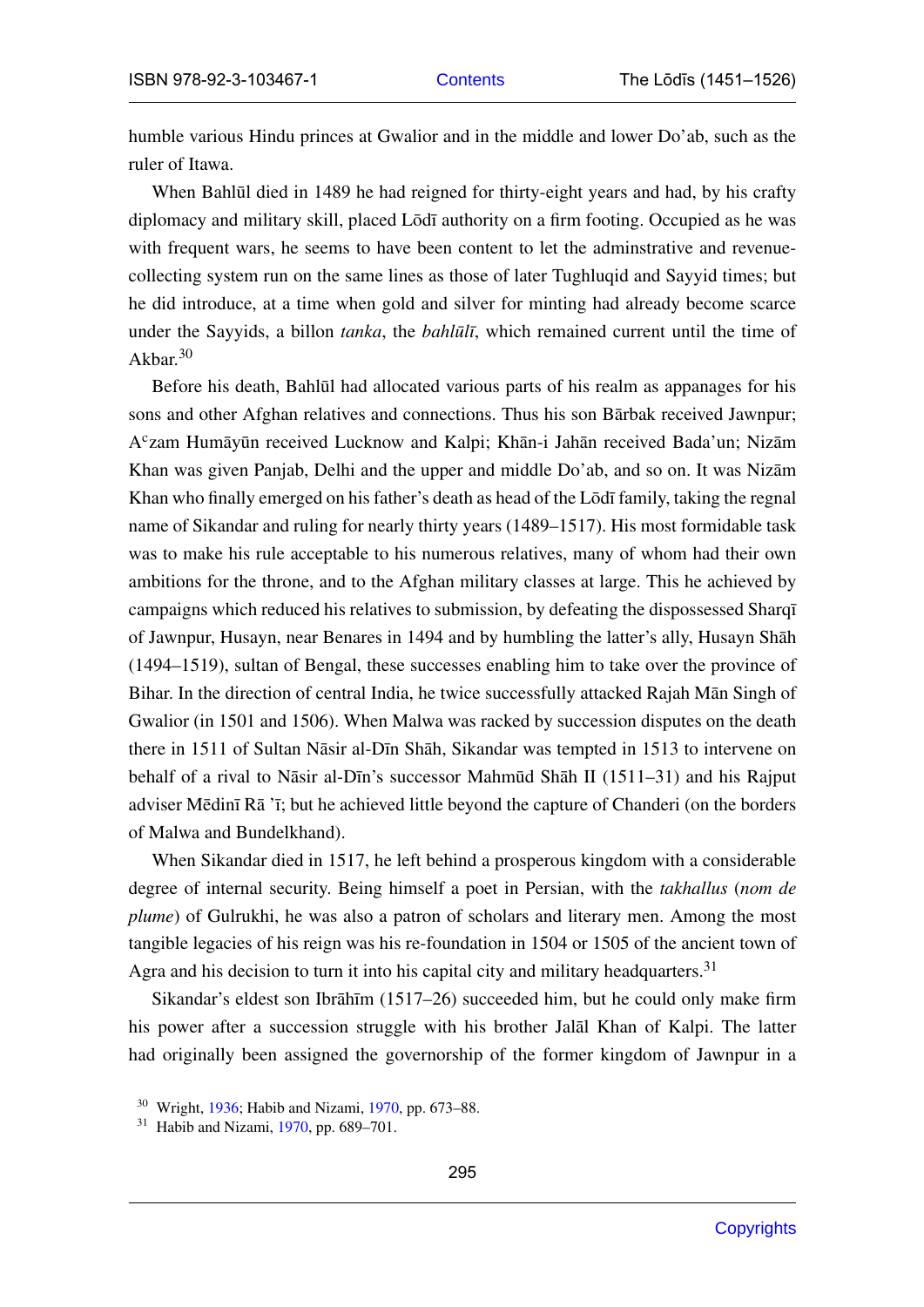humble various Hindu princes at Gwalior and in the middle and lower Do'ab, such as the ruler of Itawa.

When Bahlul died in 1489 he had reigned for thirty-eight years and had, by his crafty diplomacy and military skill, placed Lodi authority on a firm footing. Occupied as he was with frequent wars, he seems to have been content to let the adminstrative and revenuecollecting system run on the same lines as those of later Tughluqid and Sayyid times; but he did introduce, at a time when gold and silver for minting had already become scarce under the Sayyids, a billon *tanka*, the *bahlul*<sup> $\bar{u}$ </sup>, which remained current until the time of Akbar.<sup>30</sup>

Before his death, Bahlul had allocated various parts of his realm as appanages for his sons and other Afghan relatives and connections. Thus his son Barbak received Jawnpur; A<sup>c</sup>zam Humāyūn received Lucknow and Kalpi; Khān-i Jahān received Bada'un; Nizām Khan was given Panjab, Delhi and the upper and middle Do'ab, and so on. It was Nizam Khan who finally emerged on his father's death as head of the Lodi family, taking the regnal name of Sikandar and ruling for nearly thirty years (1489–1517). His most formidable task was to make his rule acceptable to his numerous relatives, many of whom had their own ambitions for the throne, and to the Afghan military classes at large. This he achieved by campaigns which reduced his relatives to submission, by defeating the dispossessed Sharq $\bar{I}$ of Jawnpur, Husayn, near Benares in 1494 and by humbling the latter's ally, Husayn Shah (1494–1519), sultan of Bengal, these successes enabling him to take over the province of Bihar. In the direction of central India, he twice successfully attacked Rajah Mān Singh of Gwalior (in 1501 and 1506). When Malwa was racked by succession disputes on the death there in 1511 of Sultan Nāsir al-Dīn Shāh, Sikandar was tempted in 1513 to intervene on behalf of a rival to Nāsir al-Dīn's successor Mahmud Shāh II (1511–31) and his Rajput adviser Mēdinī Rā 'ī; but he achieved little beyond the capture of Chanderi (on the borders of Malwa and Bundelkhand).

When Sikandar died in 1517, he left behind a prosperous kingdom with a considerable degree of internal security. Being himself a poet in Persian, with the *takhallus* (*nom de plume*) of Gulrukhi, he was also a patron of scholars and literary men. Among the most tangible legacies of his reign was his re-foundation in 1504 or 1505 of the ancient town of Agra and his decision to turn it into his capital city and military headquarters.<sup>31</sup>

Sikandar's eldest son Ibrāhīm  $(1517–26)$  succeeded him, but he could only make firm his power after a succession struggle with his brother Jalal Khan of Kalpi. The latter had originally been assigned the governorship of the former kingdom of Jawnpur in a

<sup>30</sup> Wright, 1936; Habib and Nizami, 1970, pp. 673–88.

<sup>31</sup> Habib and Nizami, 1970, pp. 689–701.